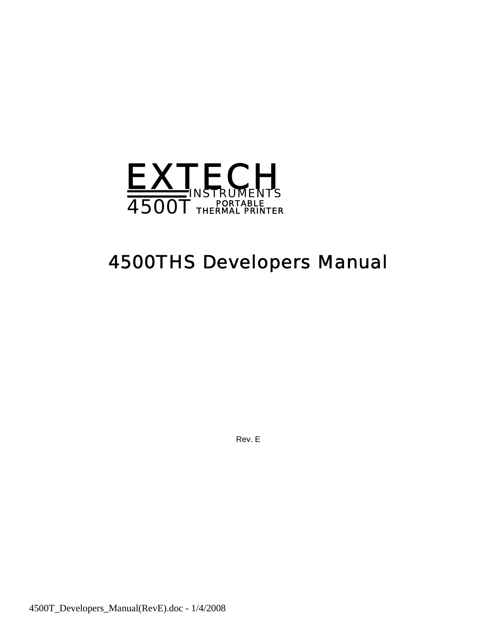

# *4500THS Developers Manual*

Rev. E

4500T\_Developers\_Manual(RevE).doc - 1/4/2008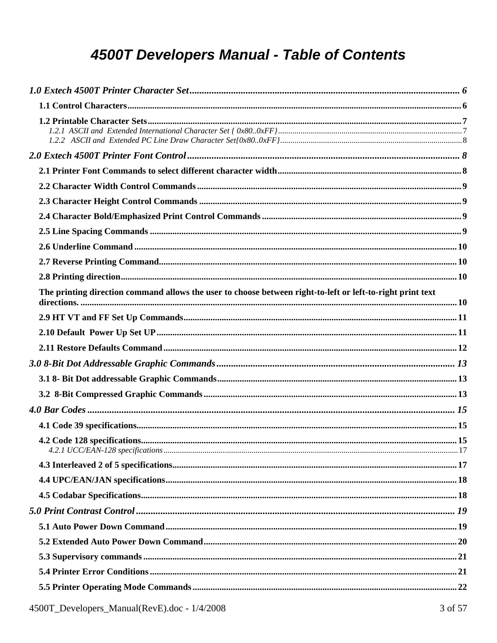# 4500T Developers Manual - Table of Contents

| The printing direction command allows the user to choose between right-to-left or left-to-right print text |  |
|------------------------------------------------------------------------------------------------------------|--|
|                                                                                                            |  |
|                                                                                                            |  |
|                                                                                                            |  |
|                                                                                                            |  |
|                                                                                                            |  |
|                                                                                                            |  |
|                                                                                                            |  |
|                                                                                                            |  |
|                                                                                                            |  |
|                                                                                                            |  |
|                                                                                                            |  |
|                                                                                                            |  |
|                                                                                                            |  |
|                                                                                                            |  |
|                                                                                                            |  |
|                                                                                                            |  |
|                                                                                                            |  |
|                                                                                                            |  |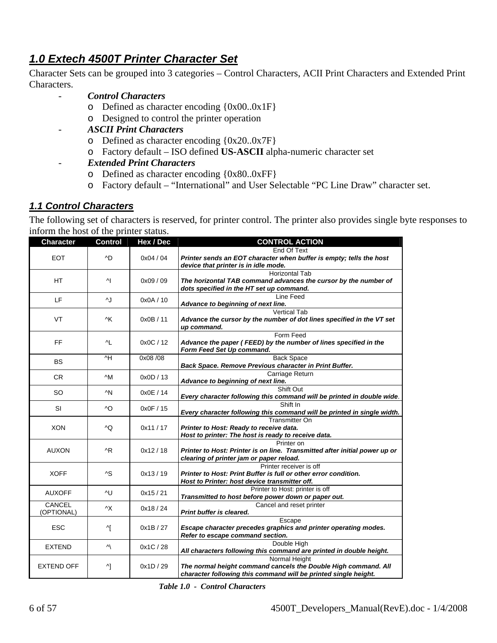# <span id="page-5-0"></span>*1.0 Extech 4500T Printer Character Set*

Character Sets can be grouped into 3 categories – Control Characters, ACII Print Characters and Extended Print Characters.

- *Control Characters* 
	- o Defined as character encoding {0x00..0x1F}
	- o Designed to control the printer operation
- *ASCII Print Characters* 
	- o Defined as character encoding {0x20..0x7F}
	- o Factory default ISO defined **US-ASCII** alpha-numeric character set
	- *Extended Print Characters* 
		- o Defined as character encoding {0x80..0xFF}
		- o Factory default "International" and User Selectable "PC Line Draw" character set.

## *1.1 Control Characters*

The following set of characters is reserved, for printer control. The printer also provides single byte responses to inform the host of the printer status.

| <b>Character</b>  | <b>Control</b> | Hex / Dec | <b>CONTROL ACTION</b>                                                                                       |
|-------------------|----------------|-----------|-------------------------------------------------------------------------------------------------------------|
|                   |                |           | End Of Text                                                                                                 |
| <b>EOT</b>        | ^D             | 0x04/04   | Printer sends an EOT character when buffer is empty; tells the host<br>device that printer is in idle mode. |
|                   |                |           | <b>Horizontal Tab</b>                                                                                       |
| HТ                | 시              | 0x09/09   | The horizontal TAB command advances the cursor by the number of                                             |
|                   |                |           | dots specified in the HT set up command.                                                                    |
| LF                | ^J             | 0x0A / 10 | Line Feed                                                                                                   |
|                   |                |           | Advance to beginning of next line.                                                                          |
|                   |                |           | <b>Vertical Tab</b>                                                                                         |
| VT                | ۸K             | 0x0B/11   | Advance the cursor by the number of dot lines specified in the VT set                                       |
|                   |                |           | up command.                                                                                                 |
| FF                |                | 0x0C / 12 | Form Feed                                                                                                   |
|                   | ^L             |           | Advance the paper (FEED) by the number of lines specified in the<br>Form Feed Set Up command.               |
|                   | ^H             | 0x08/08   | <b>Back Space</b>                                                                                           |
| <b>BS</b>         |                |           | Back Space. Remove Previous character in Print Buffer.                                                      |
|                   |                |           | Carriage Return                                                                                             |
| <b>CR</b>         | $\wedge$ M     | 0x0D / 13 | Advance to beginning of next line.                                                                          |
|                   |                |           | Shift Out                                                                                                   |
| SO                | ^N             | 0x0E/14   | Every character following this command will be printed in double wide.                                      |
|                   |                |           | Shift In                                                                                                    |
| SI                | ^O             | 0x0F / 15 | Every character following this command will be printed in single width.                                     |
|                   |                |           | <b>Transmitter On</b>                                                                                       |
| <b>XON</b>        | ۸Q             | 0x11/17   | Printer to Host: Ready to receive data.                                                                     |
|                   |                |           | Host to printer: The host is ready to receive data.                                                         |
|                   |                |           | Printer on                                                                                                  |
| <b>AUXON</b>      | ^R             | 0x12/18   | Printer to Host: Printer is on line. Transmitted after initial power up or                                  |
|                   |                |           | clearing of printer jam or paper reload.                                                                    |
|                   |                |           | Printer receiver is off                                                                                     |
| <b>XOFF</b>       | ^S             | 0x13/19   | Printer to Host: Print Buffer is full or other error condition.                                             |
|                   |                |           | Host to Printer: host device transmitter off.                                                               |
| <b>AUXOFF</b>     | ۸U             | 0x15/21   | Printer to Host: printer is off                                                                             |
| CANCEL            |                |           | Transmitted to host before power down or paper out.                                                         |
| (OPTIONAL)        | ۸X             | 0x18/24   | Cancel and reset printer<br>Print buffer is cleared.                                                        |
|                   |                |           |                                                                                                             |
| <b>ESC</b>        | ^[             | 0x1B/27   | Escape<br>Escape character precedes graphics and printer operating modes.                                   |
|                   |                |           | Refer to escape command section.                                                                            |
|                   |                |           | Double High                                                                                                 |
| <b>EXTEND</b>     | Ν              | 0x1C/28   | All characters following this command are printed in double height.                                         |
|                   |                |           | Normal Height                                                                                               |
| <b>EXTEND OFF</b> | 시              | 0x1D / 29 | The normal height command cancels the Double High command. All                                              |
|                   |                |           | character following this command will be printed single height.                                             |

 *Table 1.0 - Control Characters*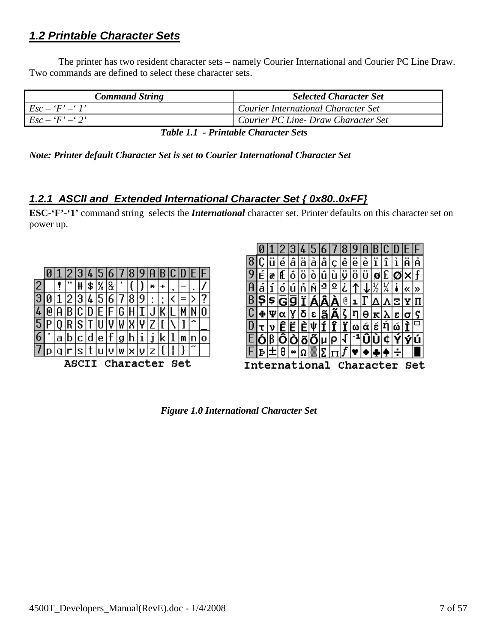# <span id="page-6-0"></span>*1.2 Printable Character Sets*

The printer has two resident character sets – namely Courier International and Courier PC Line Draw. Two commands are defined to select these character sets.

| <b>Command String</b> | <b>Selected Character Set</b>       |
|-----------------------|-------------------------------------|
| $Esc - F' - T'$       | Courier International Character Set |
| $Esc - 'F' - '2'$     | Courier PC Line- Draw Character Set |
|                       |                                     |

 *Table 1.1 - Printable Character Sets* 

*Note: Printer default Character Set is set to Courier International Character Set* 

# *1.2.1 ASCII and Extended International Character Set { 0x80..0xFF}*

**ESC-'F'-'1'** command string selects the *International* character set. Printer defaults on this character set on power up.

|                                 |   |   |   |    |   |   |                | 8   | У |   |   |   |                       |   |
|---------------------------------|---|---|---|----|---|---|----------------|-----|---|---|---|---|-----------------------|---|
|                                 |   |   | Ħ | \$ | % | 8 |                |     |   | × |   | , |                       |   |
|                                 |   |   | 3 | 4  | 5 | 6 |                | 8   | 9 | ٠ | , |   |                       |   |
|                                 |   | B | C |    |   |   | G              |     |   |   |   |   |                       |   |
|                                 |   |   | s |    |   |   | W              |     |   |   |   |   |                       |   |
|                                 | a | b | с | α  | e |   | g              |     | ı |   |   |   |                       | о |
|                                 |   |   | г |    | u | v | $(\mathbf{W})$ | l×. | υ | z |   |   | $\tilde{\phantom{a}}$ |   |
| <b>Set</b><br>Character<br>ASC. |   |   |   |    |   |   |                |     |   |   |   |   |                       |   |



 *Figure 1.0 International Character Set*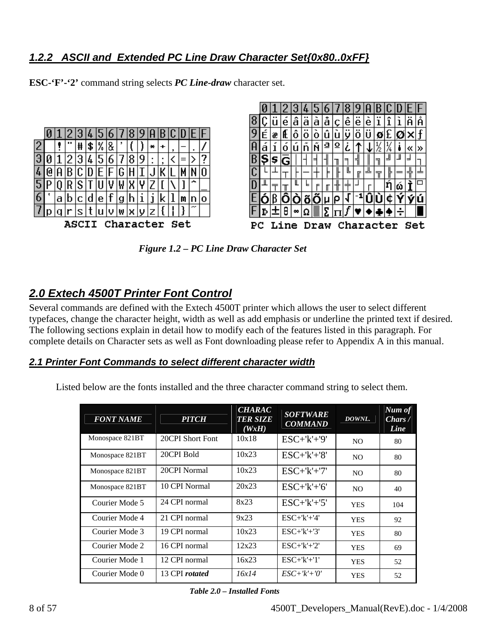# <span id="page-7-0"></span>*1.2.2 ASCII and Extended PC Line Draw Character Set{0x80..0xFF}*

**ESC-'F'-'2'** command string selects *PC Line-draw* character set.



 *Figure 1.2 – PC Line Draw Character Set* 

# *2.0 Extech 4500T Printer Font Control*

Several commands are defined with the Extech 4500T printer which allows the user to select different typefaces, change the character height, width as well as add emphasis or underline the printed text if desired. The following sections explain in detail how to modify each of the features listed in this paragraph. For complete details on Character sets as well as Font downloading please refer to Appendix A in this manual.

# *2.1 Printer Font Commands to select different character width*

Listed below are the fonts installed and the three character command string to select them.

| <b>FONT NAME</b> | <b>PITCH</b>          | <b>CHARAC</b><br><b>TER SIZE</b><br>(WxH) | <b>SOFTWARE</b><br><b>COMMAND</b> | DOWNL.         | Num of<br>Chars/<br>Line |
|------------------|-----------------------|-------------------------------------------|-----------------------------------|----------------|--------------------------|
| Monospace 821BT  | 20CPI Short Font      | 10x18                                     | $ESC+'k'+'9'$                     | N <sub>O</sub> | 80                       |
| Monospace 821BT  | 20CPI Bold            | 10x23                                     | $ESC+'k'+'8'$                     | N <sub>O</sub> | 80                       |
| Monospace 821BT  | 20CPI Normal          | 10x23                                     | $ESC+'k'+'7'$                     | N <sub>O</sub> | 80                       |
| Monospace 821BT  | 10 CPI Normal         | 20x23                                     | $ESC+K'+6'$                       | N <sub>O</sub> | 40                       |
| Courier Mode 5   | 24 CPI normal         | 8x23                                      | $ESC+'k'+'5'$                     | <b>YES</b>     | 104                      |
| Courier Mode 4   | 21 CPI normal         | 9x23                                      | $ESC+ k'+4'$                      | <b>YES</b>     | 92                       |
| Courier Mode 3   | 19 CPI normal         | 10x23                                     | $ESC+ k'+3'$                      | <b>YES</b>     | 80                       |
| Courier Mode 2   | 16 CPI normal         | 12x23                                     | $ESC+ k'+2'$                      | <b>YES</b>     | 69                       |
| Courier Mode 1   | 12 CPI normal         | 16x23                                     | $ESC+ k'+1'$                      | <b>YES</b>     | 52                       |
| Courier Mode 0   | 13 CPI <i>rotated</i> | 16x14                                     | $ESC+'k'+'0'$                     | <b>YES</b>     | 52                       |

 *Table 2.0 – Installed Fonts*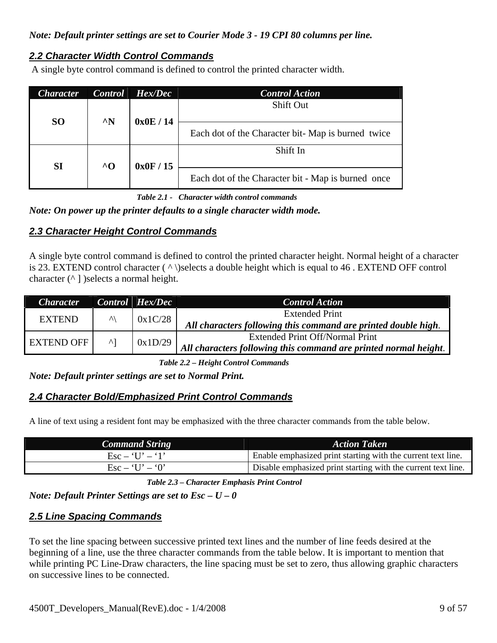# <span id="page-8-0"></span>*Note: Default printer settings are set to Courier Mode 3 - 19 CPI 80 columns per line.*

# *2.2 Character Width Control Commands*

A single byte control command is defined to control the printed character width.

| <b>Character</b> | <b>Control</b>                             | Hex/Dec                                            | <b>Control Action</b> |                                                   |
|------------------|--------------------------------------------|----------------------------------------------------|-----------------------|---------------------------------------------------|
|                  |                                            |                                                    | <b>Shift Out</b>      |                                                   |
| <b>SO</b>        | $^{\wedge}N$                               | 0x0E/14                                            |                       | Each dot of the Character bit-Map is burned twice |
| SI               | $^{\wedge}$ <sup><math>\Omega</math></sup> | 0x0F/15                                            | Shift In              |                                                   |
|                  |                                            | Each dot of the Character bit - Map is burned once |                       |                                                   |

 *Table 2.1 - Character width control commands* 

*Note: On power up the printer defaults to a single character width mode.* 

# *2.3 Character Height Control Commands*

A single byte control command is defined to control the printed character height. Normal height of a character is 23. EXTEND control character ( ^ \)selects a double height which is equal to 46 . EXTEND OFF control character  $(^{\wedge}$  ] )selects a normal height.

| <b>Character</b>  |              | $Control$ $Hex/Dec$ | <b>Control Action</b>                                            |
|-------------------|--------------|---------------------|------------------------------------------------------------------|
| <b>EXTEND</b>     | $\wedge$     | 0x1C/28             | Extended Print                                                   |
|                   |              |                     | All characters following this command are printed double high.   |
| <b>EXTEND OFF</b> | $\mathsf{A}$ | 0x1D/29             | <b>Extended Print Off/Normal Print</b>                           |
|                   |              |                     | All characters following this command are printed normal height. |

 *Table 2.2 – Height Control Commands* 

*Note: Default printer settings are set to Normal Print.* 

## *2.4 Character Bold/Emphasized Print Control Commands*

A line of text using a resident font may be emphasized with the three character commands from the table below.

| <b>Command String</b>                  | <b>Action Taken</b>                                           |
|----------------------------------------|---------------------------------------------------------------|
| $\text{Esc} - \text{`U'} - \text{`1'}$ | Enable emphasized print starting with the current text line.  |
| $\text{Esc} - 'U' - '0'$               | Disable emphasized print starting with the current text line. |

 *Table 2.3 – Character Emphasis Print Control* 

*Note: Default Printer Settings are set to Esc – U – 0* 

# *2.5 Line Spacing Commands*

To set the line spacing between successive printed text lines and the number of line feeds desired at the beginning of a line, use the three character commands from the table below. It is important to mention that while printing PC Line-Draw characters, the line spacing must be set to zero, thus allowing graphic characters on successive lines to be connected.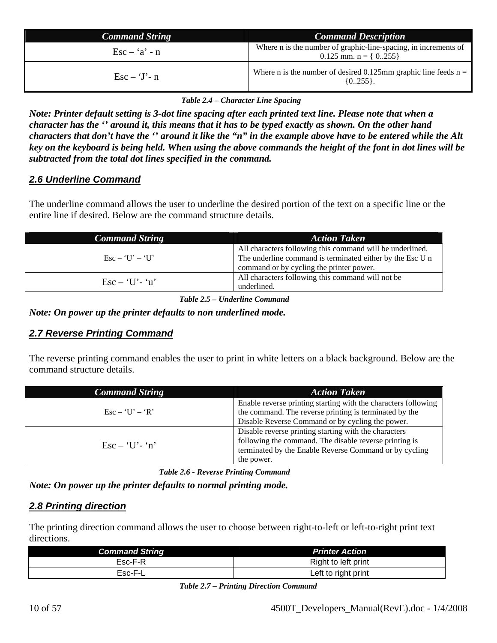<span id="page-9-0"></span>

| <b>Command String</b>                   | <b>Command Description</b>                                                                    |
|-----------------------------------------|-----------------------------------------------------------------------------------------------|
| $\text{Esc} - \mathbf{a'} - \mathbf{n}$ | Where n is the number of graphic-line-spacing, in increments of<br>0.125 mm. n = $\{ 0255 \}$ |
| $\text{Esc} - \text{`J' - n}$           | Where n is the number of desired 0.125mm graphic line feeds $n =$<br>$\{0255\}.$              |

 *Table 2.4 – Character Line Spacing* 

*Note: Printer default setting is 3-dot line spacing after each printed text line. Please note that when a character has the '' around it, this means that it has to be typed exactly as shown. On the other hand characters that don't have the '' around it like the "n" in the example above have to be entered while the Alt key on the keyboard is being held. When using the above commands the height of the font in dot lines will be subtracted from the total dot lines specified in the command.*

# *2.6 Underline Command*

The underline command allows the user to underline the desired portion of the text on a specific line or the entire line if desired. Below are the command structure details.

| <b>Command String</b>                                          | <b>Action Taken</b>                                                                                                                                                |
|----------------------------------------------------------------|--------------------------------------------------------------------------------------------------------------------------------------------------------------------|
| $\text{Esc} - \text{`U'} - \text{`U'}$                         | All characters following this command will be underlined.<br>The underline command is terminated either by the Esc U n<br>command or by cycling the printer power. |
| $\operatorname{Esc} - \operatorname{H} \cdot \operatorname{H}$ | All characters following this command will not be<br>underlined.                                                                                                   |

 *Table 2.5 – Underline Command* 

*Note: On power up the printer defaults to non underlined mode.* 

# *2.7 Reverse Printing Command*

The reverse printing command enables the user to print in white letters on a black background. Below are the command structure details.

| <b>Command String</b>              | <b>Action Taken</b>                                                                                                                                                                     |
|------------------------------------|-----------------------------------------------------------------------------------------------------------------------------------------------------------------------------------------|
| $\text{Esc} - \text{T} = \text{R}$ | Enable reverse printing starting with the characters following<br>the command. The reverse printing is terminated by the<br>Disable Reverse Command or by cycling the power.            |
| $\text{Esc} - \text{`U'-'n''}$     | Disable reverse printing starting with the characters<br>following the command. The disable reverse printing is<br>terminated by the Enable Reverse Command or by cycling<br>the power. |

 *Table 2.6 - Reverse Printing Command* 

*Note: On power up the printer defaults to normal printing mode.* 

# *2.8 Printing direction*

The printing direction command allows the user to choose between right-to-left or left-to-right print text directions.

| <b>Command String</b> | <b>Printer Action</b> |
|-----------------------|-----------------------|
| Esc-F-R               | Right to left print   |
| Esc-F-L               | Left to right print   |

*Table 2.7 – Printing Direction Command*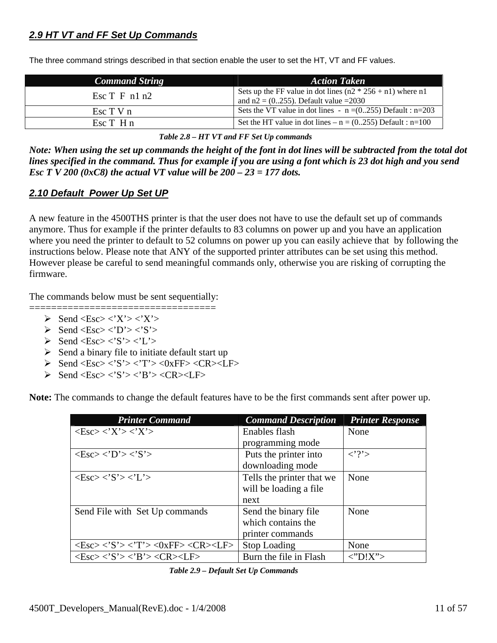# <span id="page-10-0"></span>*2.9 HT VT and FF Set Up Commands*

| <b>Command String</b>      | <b>Action Taken</b>                                                                                      |
|----------------------------|----------------------------------------------------------------------------------------------------------|
| Esc $T$ F n1 n2            | Sets up the FF value in dot lines $(n2 * 256 + n1)$ where n1<br>and $n2 = (0255)$ . Default value = 2030 |
| Esc T V n                  | Sets the VT value in dot lines - $n = (0255)$ Default : $n = 203$                                        |
| $\operatorname{Esc} T$ H n | Set the HT value in dot lines – $n = (0255)$ Default : $n=100$                                           |

The three command strings described in that section enable the user to set the HT, VT and FF values.

 *Table 2.8 – HT VT and FF Set Up commands* 

*Note: When using the set up commands the height of the font in dot lines will be subtracted from the total dot lines specified in the command. Thus for example if you are using a font which is 23 dot high and you send Esc T V 200 (0xC8) the actual VT value will be 200 – 23 = 177 dots.*

# *2.10 Default Power Up Set UP*

A new feature in the 4500THS printer is that the user does not have to use the default set up of commands anymore. Thus for example if the printer defaults to 83 columns on power up and you have an application where you need the printer to default to 52 columns on power up you can easily achieve that by following the instructions below. Please note that ANY of the supported printer attributes can be set using this method. However please be careful to send meaningful commands only, otherwise you are risking of corrupting the firmware.

The commands below must be sent sequentially:

- $\triangleright$  Send <Esc> <'X'> <'X'>
- $\triangleright$  Send <Esc> <'D'> <'S'>
- $\triangleright$  Send  $\triangle$ Esc $>$   $\triangle$ 'S $>$   $\triangle$ 'L $>$
- $\triangleright$  Send a binary file to initiate default start up
- $\triangleright$  Send <Esc> <'S'> <'T'> <0xFF> <CR><LF>

==================================

 $\triangleright$  Send <Esc> <'S'> <'B'> <CR><LF>

**Note:** The commands to change the default features have to be the first commands sent after power up.

| <b>Printer Command</b>                                                                                                 | <b>Command Description</b> | <b>Printer Response</b> |
|------------------------------------------------------------------------------------------------------------------------|----------------------------|-------------------------|
| $\langle$ Esc> $\langle$ 'X'> $\langle$ 'X'>                                                                           | Enables flash              | None                    |
|                                                                                                                        | programming mode           |                         |
| $\langle Esc \rangle \langle D' \rangle \langle S' \rangle$                                                            | Puts the printer into      | $\langle$ ?'>           |
|                                                                                                                        | downloading mode           |                         |
| $\langle Esc \rangle \langle S' \rangle \langle L' \rangle$                                                            | Tells the printer that we  | None                    |
|                                                                                                                        | will be loading a file.    |                         |
|                                                                                                                        | next                       |                         |
| Send File with Set Up commands                                                                                         | Send the binary file       | None                    |
|                                                                                                                        | which contains the         |                         |
|                                                                                                                        | printer commands           |                         |
| $\langle Esc \rangle \langle S' \rangle \langle T' \rangle \langle 0xFF \rangle \langle CR \rangle \langle LF \rangle$ | <b>Stop Loading</b>        | None                    |
| $\langle Esc \rangle \langle S' \rangle \langle B' \rangle \langle CR \rangle \langle LF \rangle$                      | Burn the file in Flash     | $\langle$ "D!X">        |

 *Table 2.9 – Default Set Up Commands*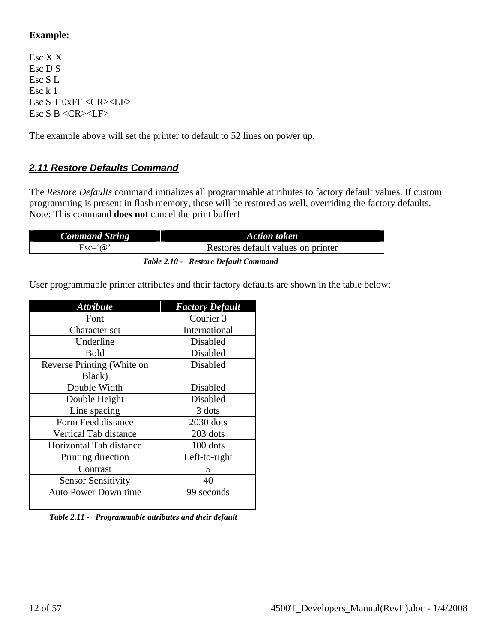# <span id="page-11-0"></span>**Example:**

Esc X X Esc D S Esc S L Esc k 1 Esc S T 0xFF <CR><LF> Esc S B <CR><LF>

The example above will set the printer to default to 52 lines on power up.

# *2.11 Restore Defaults Command*

The *Restore Defaults* command initializes all programmable attributes to factory default values. If custom programming is present in flash memory, these will be restored as well, overriding the factory defaults. Note: This command **does not** cancel the print buffer!

| <b>Command String</b> | Action taken                         |
|-----------------------|--------------------------------------|
| $Esc-6$               | Restores default values on printer   |
|                       | Table 2.10 - Restore Default Command |

User programmable printer attributes and their factory defaults are shown in the table below:

| <b>Attribute</b>             | <b>Factory Default</b> |  |  |  |
|------------------------------|------------------------|--|--|--|
| Font                         | Courier 3              |  |  |  |
| Character set                | International          |  |  |  |
| Underline                    | Disabled               |  |  |  |
| <b>Bold</b>                  | Disabled               |  |  |  |
| Reverse Printing (White on   | Disabled               |  |  |  |
| Black)                       |                        |  |  |  |
| Double Width                 | Disabled               |  |  |  |
| Double Height                | Disabled               |  |  |  |
| Line spacing                 | 3 dots                 |  |  |  |
| Form Feed distance           | 2030 dots              |  |  |  |
| <b>Vertical Tab distance</b> | 203 dots               |  |  |  |
| Horizontal Tab distance      | 100 dots               |  |  |  |
| Printing direction           | Left-to-right          |  |  |  |
| Contrast                     | 5                      |  |  |  |
| <b>Sensor Sensitivity</b>    | 40                     |  |  |  |
| <b>Auto Power Down time</b>  | 99 seconds             |  |  |  |
|                              |                        |  |  |  |

 *Table 2.11 - Programmable attributes and their default*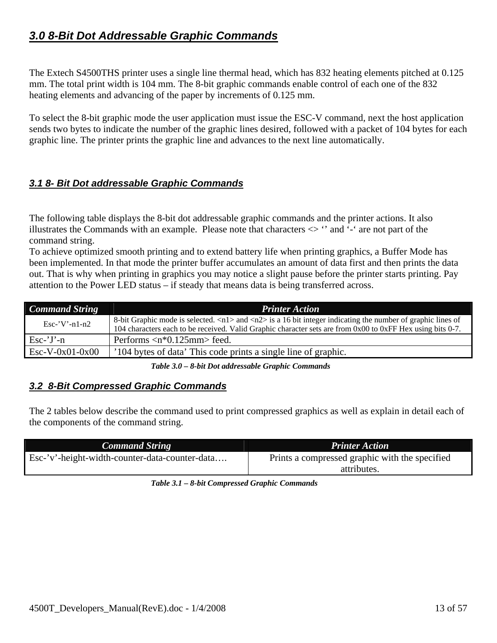# <span id="page-12-0"></span>*3.0 8-Bit Dot Addressable Graphic Commands*

The Extech S4500THS printer uses a single line thermal head, which has 832 heating elements pitched at 0.125 mm. The total print width is 104 mm. The 8-bit graphic commands enable control of each one of the 832 heating elements and advancing of the paper by increments of 0.125 mm.

To select the 8-bit graphic mode the user application must issue the ESC-V command, next the host application sends two bytes to indicate the number of the graphic lines desired, followed with a packet of 104 bytes for each graphic line. The printer prints the graphic line and advances to the next line automatically.

# *3.1 8- Bit Dot addressable Graphic Commands*

The following table displays the 8-bit dot addressable graphic commands and the printer actions. It also illustrates the Commands with an example. Please note that characters  $\langle \rangle$  " and '-' are not part of the command string.

To achieve optimized smooth printing and to extend battery life when printing graphics, a Buffer Mode has been implemented. In that mode the printer buffer accumulates an amount of data first and then prints the data out. That is why when printing in graphics you may notice a slight pause before the printer starts printing. Pay attention to the Power LED status – if steady that means data is being transferred across.

| <b>Command String</b> | <b>Printer Action</b>                                                                                                                                                                                                                                     |
|-----------------------|-----------------------------------------------------------------------------------------------------------------------------------------------------------------------------------------------------------------------------------------------------------|
| $Esc$ -'V'-n1-n2      | 8-bit Graphic mode is selected. $\langle n1 \rangle$ and $\langle n2 \rangle$ is a 16 bit integer indicating the number of graphic lines of<br>104 characters each to be received. Valid Graphic character sets are from 0x00 to 0xFF Hex using bits 0-7. |
| $Esc-'J'-n$           | Performs $\langle n^*0.125 \text{mm} \rangle$ feed.                                                                                                                                                                                                       |
| $Esc-V-0x01-0x00$     | '104 bytes of data' This code prints a single line of graphic.                                                                                                                                                                                            |

 *Table 3.0 – 8-bit Dot addressable Graphic Commands* 

# *3.2 8-Bit Compressed Graphic Commands*

The 2 tables below describe the command used to print compressed graphics as well as explain in detail each of the components of the command string.

| <b>Command String</b>                          | <b>Printer Action</b>                          |
|------------------------------------------------|------------------------------------------------|
| Esc-'v'-height-width-counter-data-counter-data | Prints a compressed graphic with the specified |
|                                                | attributes.                                    |

| Table 3.1 - 8-bit Compressed Graphic Commands |  |
|-----------------------------------------------|--|
|-----------------------------------------------|--|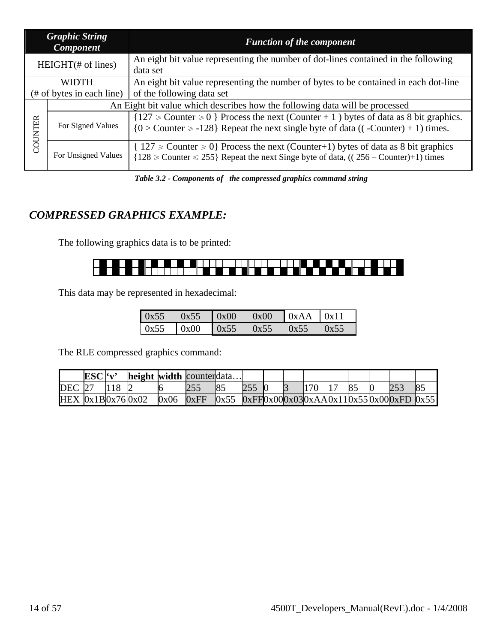|         | <b>Graphic String</b><br><b>Function of the component</b><br><b>Component</b> |                                                                                                                                                                                      |  |  |  |  |  |  |
|---------|-------------------------------------------------------------------------------|--------------------------------------------------------------------------------------------------------------------------------------------------------------------------------------|--|--|--|--|--|--|
|         | $HEIGHT(\# of lines)$                                                         | An eight bit value representing the number of dot-lines contained in the following<br>data set                                                                                       |  |  |  |  |  |  |
|         | <b>WIDTH</b><br>$#$ of bytes in each line)                                    | An eight bit value representing the number of bytes to be contained in each dot-line<br>of the following data set                                                                    |  |  |  |  |  |  |
|         | An Eight bit value which describes how the following data will be processed   |                                                                                                                                                                                      |  |  |  |  |  |  |
| COUNTER | For Signed Values                                                             | ${127 \geq$ Counter $\geq 0$ Process the next (Counter + 1) bytes of data as 8 bit graphics.<br>${0 > Counter \ge -128}$ Repeat the next single byte of data ((-Counter) + 1) times. |  |  |  |  |  |  |
|         | For Unsigned Values                                                           | $\{ 127 \geq 0 \}$ Process the next (Counter+1) bytes of data as 8 bit graphics<br>$\{128 \geq$ Counter $\leq 255\}$ Repeat the next Singe byte of data, ((256 – Counter)+1) times   |  |  |  |  |  |  |

 *Table 3.2 - Components of the compressed graphics command string* 

# *COMPRESSED GRAPHICS EXAMPLE:*

The following graphics data is to be printed:



This data may be represented in hexadecimal:

| 0x55 | 0x55 | $\log 00$ | 0x00 | $\vert \vert$ 0xAA $\vert$ 0x11 |      |
|------|------|-----------|------|---------------------------------|------|
| 0x55 | 0x00 | 0x55      | 0x55 | 0x55                            | 0x55 |

The RLE compressed graphics command:

|                     | ESC'v' |               | height width counterdata |      |                                                      |  |  |      |                |     |    |
|---------------------|--------|---------------|--------------------------|------|------------------------------------------------------|--|--|------|----------------|-----|----|
| <b>DEC</b> 27       |        | $ 118\rangle$ |                          |      |                                                      |  |  | 1170 | 8 <sup>5</sup> | 253 | 85 |
| $HEX$ 0x1B0x76 0x02 |        |               |                          | 0x06 | $0xFF$ $0x55$ $0xFF0x000x030xAA0x110x550x000xFD0x55$ |  |  |      |                |     |    |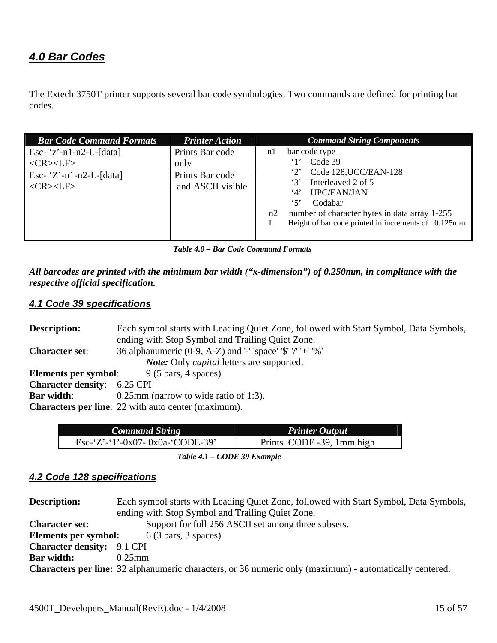# <span id="page-14-0"></span>*4.0 Bar Codes*

The Extech 3750T printer supports several bar code symbologies. Two commands are defined for printing bar codes.

| <b>Printer Action</b><br><b>Bar Code Command Formats</b>                                                                                                         | <b>Command String Components</b>                                                                                                                                                                                                                                                 |
|------------------------------------------------------------------------------------------------------------------------------------------------------------------|----------------------------------------------------------------------------------------------------------------------------------------------------------------------------------------------------------------------------------------------------------------------------------|
| Esc- $z'$ -n1-n2-L-[data]<br>Prints Bar code<br>$<$ CR> $<$ LF><br>only<br>Esc- $'Z'$ -n1-n2-L-[data]<br>Prints Bar code<br>and ASCII visible<br>$<$ CR> $<$ LF> | bar code type<br>n <sub>1</sub><br>Code 39<br>Code 128, UCC/EAN-128<br>$\cdot_2$<br>Interleaved 2 of 5<br>3'<br><b>UPC/EAN/JAN</b><br>4'<br>$5^{\circ}$<br>Codabar<br>number of character bytes in data array 1-255<br>n2<br>Height of bar code printed in increments of 0.125mm |

 *Table 4.0 – Bar Code Command Formats* 

*All barcodes are printed with the minimum bar width ("x-dimension") of 0.250mm, in compliance with the respective official specification.* 

# *4.1 Code 39 specifications*

| <b>Description:</b>                                           | Each symbol starts with Leading Quiet Zone, followed with Start Symbol, Data Symbols, |  |  |  |
|---------------------------------------------------------------|---------------------------------------------------------------------------------------|--|--|--|
|                                                               | ending with Stop Symbol and Trailing Quiet Zone.                                      |  |  |  |
| <b>Character set:</b>                                         | 36 alphanumeric (0-9, A-Z) and '-' 'space' '\$' '/' '+' '%'                           |  |  |  |
|                                                               | <i>Note:</i> Only <i>capital</i> letters are supported.                               |  |  |  |
| $9(5 \text{ bars}, 4 \text{ spaces})$<br>Elements per symbol: |                                                                                       |  |  |  |
| <b>Character density:</b> 6.25 CPI                            |                                                                                       |  |  |  |
| <b>Bar width:</b>                                             | $0.25$ mm (narrow to wide ratio of 1:3).                                              |  |  |  |
| <b>Characters per line:</b> 22 with auto center (maximum).    |                                                                                       |  |  |  |

| <b>Command String</b>            | Printer Output            |
|----------------------------------|---------------------------|
| Esc-'Z'-'1'-0x07- 0x0a-'CODE-39' | Prints CODE -39, 1mm high |

 *Table 4.1 – CODE 39 Example* 

# *4.2 Code 128 specifications*

| <b>Description:</b>               | Each symbol starts with Leading Quiet Zone, followed with Start Symbol, Data Symbols,                          |  |  |  |  |  |
|-----------------------------------|----------------------------------------------------------------------------------------------------------------|--|--|--|--|--|
|                                   | ending with Stop Symbol and Trailing Quiet Zone.                                                               |  |  |  |  |  |
| <b>Character set:</b>             | Support for full 256 ASCII set among three subsets.                                                            |  |  |  |  |  |
| Elements per symbol:              | $6(3 \text{ bars}, 3 \text{ spaces})$                                                                          |  |  |  |  |  |
| <b>Character density:</b> 9.1 CPI |                                                                                                                |  |  |  |  |  |
| <b>Bar width:</b>                 | $0.25$ mm                                                                                                      |  |  |  |  |  |
|                                   | <b>Characters per line:</b> 32 alphanumeric characters, or 36 numeric only (maximum) - automatically centered. |  |  |  |  |  |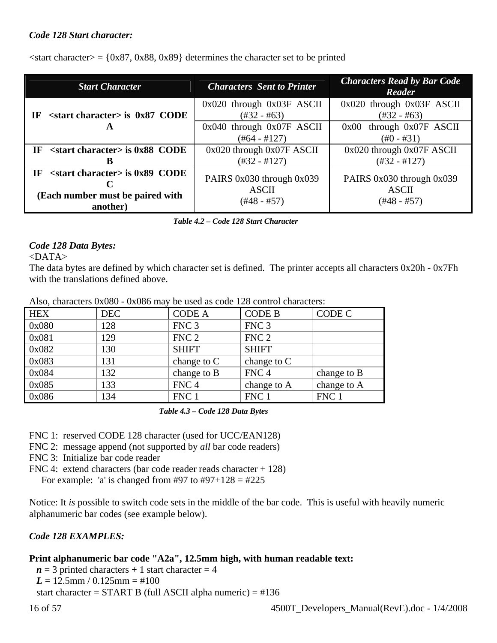### *Code 128 Start character:*

 $\langle$ start character $\rangle$  = {0x87, 0x88, 0x89} determines the character set to be printed

| <b>Start Character</b>                                                                           | <b>Characters</b> Sent to Printer                            | <b>Characters Read by Bar Code</b><br>Reader                 |
|--------------------------------------------------------------------------------------------------|--------------------------------------------------------------|--------------------------------------------------------------|
| $\epsilon$ start character> is 0x87 CODE<br>TF                                                   | $0x020$ through $0x03F$ ASCII<br>$(\#32 - \#63)$             | $0x020$ through $0x03F$ ASCII<br>$(\#32 - \#63)$             |
| A                                                                                                | 0x040 through 0x07F ASCII<br>$(\#64 - \#127)$                | 0x00 through 0x07F ASCII<br>$(\text{\#}0 - \text{\#}31)$     |
| $\le$ start character> is 0x88 CODE<br>IF                                                        | 0x020 through 0x07F ASCII<br>$(\#32 - \#127)$                | 0x020 through 0x07F ASCII<br>$(\#32 - \#127)$                |
| $\le$ start character> is 0x89 CODE<br><b>IF</b><br>(Each number must be paired with<br>another) | PAIRS 0x030 through 0x039<br><b>ASCII</b><br>$(\#48 - \#57)$ | PAIRS 0x030 through 0x039<br><b>ASCII</b><br>$(\#48 - \#57)$ |

 *Table 4.2 – Code 128 Start Character* 

### *Code 128 Data Bytes:*

### <DATA>

The data bytes are defined by which character set is defined. The printer accepts all characters 0x20h - 0x7Fh with the translations defined above.

|            | $1.2200$ , $2.1000$ $0.2000$ $0.2000$ $0.2000$ $0.200$ |                  |                  |             |
|------------|--------------------------------------------------------|------------------|------------------|-------------|
| <b>HEX</b> | <b>DEC</b>                                             | <b>CODE A</b>    | <b>CODE B</b>    | CODE C      |
| 0x080      | 128                                                    | FNC <sub>3</sub> | FNC <sub>3</sub> |             |
| 0x081      | 129                                                    | FNC <sub>2</sub> | FNC <sub>2</sub> |             |
| 0x082      | 130                                                    | <b>SHIFT</b>     | <b>SHIFT</b>     |             |
| 0x083      | 131                                                    | change to $C$    | change to $C$    |             |
| 0x084      | 132                                                    | change to B      | FNC <sub>4</sub> | change to B |
| 0x085      | 133                                                    | FNC <sub>4</sub> | change to A      | change to A |
| 0x086      | 134                                                    | FNC 1            | FNC 1            | FNC 1       |

Also, characters  $0x080 - 0x086$  may be used as code 128 control characters:

 *Table 4.3 – Code 128 Data Bytes* 

FNC 1: reserved CODE 128 character (used for UCC/EAN128)

FNC 2: message append (not supported by *all* bar code readers)

FNC 3: Initialize bar code reader

FNC 4: extend characters (bar code reader reads character + 128) For example: 'a' is changed from #97 to #97+128 = #225

Notice: It *is* possible to switch code sets in the middle of the bar code. This is useful with heavily numeric alphanumeric bar codes (see example below).

## *Code 128 EXAMPLES:*

# **Print alphanumeric bar code "A2a", 12.5mm high, with human readable text:**

 $n = 3$  printed characters + 1 start character = 4  $L = 12.5$ mm /  $0.125$ mm = #100 start character =  $START B$  (full ASCII alpha numeric) =  $\#136$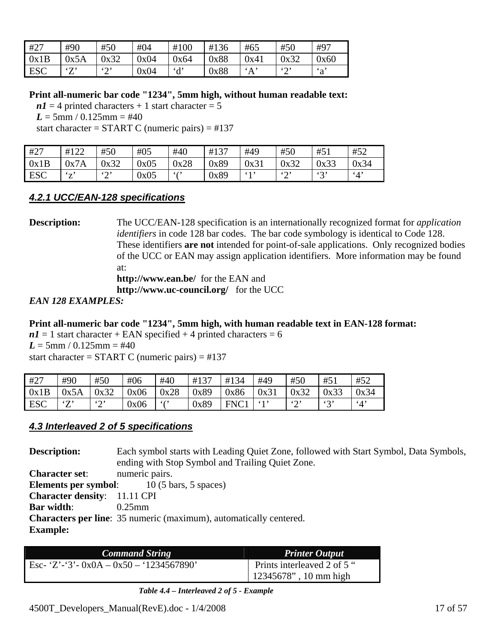<span id="page-16-0"></span>

| #27        | #90                | #50           | #04  | #100       | #136 | #65      | #50  | #97          |
|------------|--------------------|---------------|------|------------|------|----------|------|--------------|
| 0x1B       | 0x5A               | 0x32          | 0x04 | 0x64       | 0x88 | 0x41     | 0x32 | 0x60         |
| <b>ESC</b> | $\mathcal{F}$<br>∠ | $\omega$<br>∼ | 0x04 | $\partial$ | 0x88 | $\Delta$ | 52   | $\mathbf{a}$ |

**Print all-numeric bar code "1234", 5mm high, without human readable text:** 

 $n1 = 4$  printed characters + 1 start character = 5  $L = 5$ mm / 0.125mm = #40

start character =  $START C$  (numeric pairs) =  $\#137$ 

| #27        | #122        | #50           | #05  | #40  | #137 | #49  | #50           | #51     | #52           |
|------------|-------------|---------------|------|------|------|------|---------------|---------|---------------|
| 0x1B       | 0x7A        | 0x32          | 0x05 | 0x28 | 0x89 | 0x31 | 0x32          | 0x33    | 0x34          |
| <b>ESC</b> | $4\pi$<br>▵ | $\omega$<br>∼ | 0x05 | 6(2) | 0x89 | 613  | $\omega$<br>∸ | 42<br>ັ | $\mathcal{A}$ |

# *4.2.1 UCC/EAN-128 specifications*

**Description:** The UCC/EAN-128 specification is an internationally recognized format for *application identifiers* in code 128 bar codes. The bar code symbology is identical to Code 128. These identifiers **are not** intended for point-of-sale applications. Only recognized bodies of the UCC or EAN may assign application identifiers. More information may be found at: **http://www.ean.be/** for the EAN and **http://www.uc-council.org/** for the UCC

## *EAN 128 EXAMPLES:*

## **Print all-numeric bar code "1234", 5mm high, with human readable text in EAN-128 format:**

 $nI = 1$  start character + EAN specified + 4 printed characters = 6  $L = 5$ mm / 0.125mm = #40 start character =  $START C$  (numeric pairs) =  $\#137$ 

| #27  | #90      | #50           | #06  | #40          | #137 | #134 | #49  | #50           | #5 <sub>1</sub> | #52        |
|------|----------|---------------|------|--------------|------|------|------|---------------|-----------------|------------|
| 0x1B | 0x5A     | 0x32          | 0x06 | 0x28         | 0x89 | 0x86 | 0x31 | 0x32          | 0x33            | 0x34       |
| ESC  | (T)<br>∸ | $\omega$<br>∸ | 0x06 | $\epsilon$ ( | 0x89 | FNC1 | 61,  | $\omega$<br>∽ | $\omega$        | $\cdot$ 4' |

# *4.3 Interleaved 2 of 5 specifications*

**Description:** Each symbol starts with Leading Quiet Zone, followed with Start Symbol, Data Symbols, ending with Stop Symbol and Trailing Quiet Zone. **Character set**: numeric pairs. **Elements per symbol:** 10 (5 bars, 5 spaces) **Character density**: 11.11 CPI **Bar width**: 0.25mm **Characters per line**: 35 numeric (maximum), automatically centered. **Example:** 

| <b>Command String</b>                     | <b>Printer Output</b>                                             |
|-------------------------------------------|-------------------------------------------------------------------|
| Esc- 'Z'-'3'- $0x0A - 0x50 - 1234567890'$ | Prints interleaved 2 of 5 $\degree$<br>  $12345678$ ", 10 mm high |

 *Table 4.4 – Interleaved 2 of 5 - Example*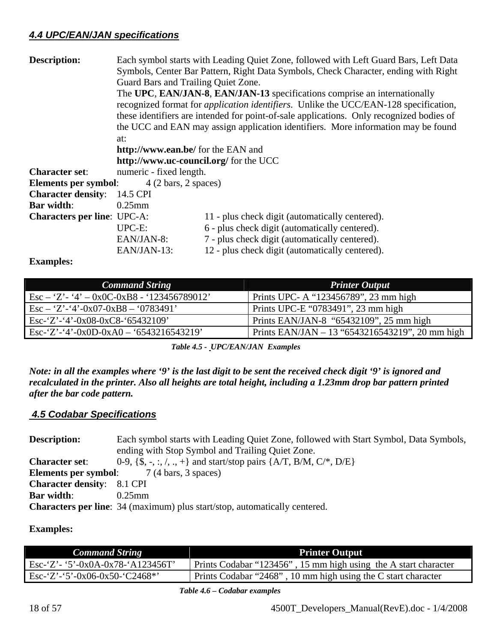# <span id="page-17-0"></span>*4.4 UPC/EAN/JAN specifications*

| <b>Description:</b>                | Guard Bars and Trailing Quiet Zone.<br>at:<br>http://www.ean.be/ for the EAN and | Each symbol starts with Leading Quiet Zone, followed with Left Guard Bars, Left Data<br>Symbols, Center Bar Pattern, Right Data Symbols, Check Character, ending with Right<br>The UPC, EAN/JAN-8, EAN/JAN-13 specifications comprise an internationally<br>recognized format for <i>application identifiers</i> . Unlike the UCC/EAN-128 specification,<br>these identifiers are intended for point-of-sale applications. Only recognized bodies of<br>the UCC and EAN may assign application identifiers. More information may be found |  |  |  |  |
|------------------------------------|----------------------------------------------------------------------------------|-------------------------------------------------------------------------------------------------------------------------------------------------------------------------------------------------------------------------------------------------------------------------------------------------------------------------------------------------------------------------------------------------------------------------------------------------------------------------------------------------------------------------------------------|--|--|--|--|
|                                    | http://www.uc-council.org/ for the UCC                                           |                                                                                                                                                                                                                                                                                                                                                                                                                                                                                                                                           |  |  |  |  |
| <b>Character set:</b>              | numeric - fixed length.                                                          |                                                                                                                                                                                                                                                                                                                                                                                                                                                                                                                                           |  |  |  |  |
| Elements per symbol:               | $4(2 \text{ bars}, 2 \text{ spaces})$                                            |                                                                                                                                                                                                                                                                                                                                                                                                                                                                                                                                           |  |  |  |  |
| <b>Character density:</b>          | 14.5 CPI                                                                         |                                                                                                                                                                                                                                                                                                                                                                                                                                                                                                                                           |  |  |  |  |
| <b>Bar width:</b>                  | $0.25$ mm                                                                        |                                                                                                                                                                                                                                                                                                                                                                                                                                                                                                                                           |  |  |  |  |
| <b>Characters per line: UPC-A:</b> |                                                                                  | 11 - plus check digit (automatically centered).                                                                                                                                                                                                                                                                                                                                                                                                                                                                                           |  |  |  |  |
|                                    | UPC-E:<br>EAN/JAN-8:<br>EAN/JAN-13:                                              | 6 - plus check digit (automatically centered).<br>7 - plus check digit (automatically centered).<br>12 - plus check digit (automatically centered).                                                                                                                                                                                                                                                                                                                                                                                       |  |  |  |  |

## **Examples:**

| <b>Command String</b>                                   | <b>Printer Output</b>                           |
|---------------------------------------------------------|-------------------------------------------------|
| $\text{Esc} - 'Z' - '4' - 0x0C - 0xB8 - '123456789012'$ | Prints UPC- A "123456789", 23 mm high           |
| $\text{Esc} - 'Z' - '4' - 0x07 - 0xB8 - '0783491'$      | Prints UPC-E "0783491", 23 mm high              |
| $\text{Esc-'}Z$ '-'4'-0x08-0xC8-'65432109'              | Prints EAN/JAN-8 "65432109", 25 mm high         |
| $ESc-2'-4'-0x0D-0xA0-6543216543219'$                    | Prints EAN/JAN - 13 "6543216543219", 20 mm high |

 *Table 4.5 - UPC/EAN/JAN Examples* 

*Note: in all the examples where '9' is the last digit to be sent the received check digit '9' is ignored and recalculated in the printer. Also all heights are total height, including a 1.23mm drop bar pattern printed after the bar code pattern.* 

## *4.5 Codabar Specifications*

| <b>Description:</b>                              | Each symbol starts with Leading Quiet Zone, followed with Start Symbol, Data Symbols, |  |
|--------------------------------------------------|---------------------------------------------------------------------------------------|--|
|                                                  | ending with Stop Symbol and Trailing Quiet Zone.                                      |  |
| <b>Character set:</b>                            | 0-9, {\$, -, :, /, ., +} and start/stop pairs {A/T, B/M, C/*, D/E}                    |  |
| <b>Elements per symbol:</b> 7 (4 bars, 3 spaces) |                                                                                       |  |
| <b>Character density:</b> 8.1 CPI                |                                                                                       |  |
| <b>Bar width:</b>                                | $0.25$ mm                                                                             |  |
|                                                  | <b>Characters per line:</b> 34 (maximum) plus start/stop, automatically centered.     |  |

### **Examples:**

| <b>Command String</b>             | <b>Printer Output</b>                                           |
|-----------------------------------|-----------------------------------------------------------------|
| Esc-'Z'- '5'-0x0A-0x78-'A123456T' | Prints Codabar "123456", 15 mm high using the A start character |
| Esc-'Z'-'5'-0x06-0x50-'C2468*'    | Prints Codabar "2468", 10 mm high using the C start character   |

 *Table 4.6 – Codabar examples*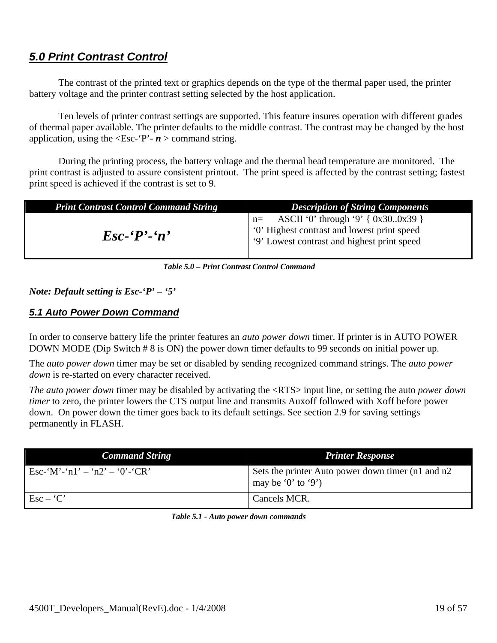# <span id="page-18-0"></span>*5.0 Print Contrast Control*

The contrast of the printed text or graphics depends on the type of the thermal paper used, the printer battery voltage and the printer contrast setting selected by the host application.

Ten levels of printer contrast settings are supported. This feature insures operation with different grades of thermal paper available. The printer defaults to the middle contrast. The contrast may be changed by the host application, using the  $\leq$ Esc-'P'-  $n >$  command string.

During the printing process, the battery voltage and the thermal head temperature are monitored. The print contrast is adjusted to assure consistent printout. The print speed is affected by the contrast setting; fastest print speed is achieved if the contrast is set to 9.

| <b>Print Contrast Control Command String</b> | <b>Description of String Components</b>                                                                                                                                                                                                                                                                                               |
|----------------------------------------------|---------------------------------------------------------------------------------------------------------------------------------------------------------------------------------------------------------------------------------------------------------------------------------------------------------------------------------------|
| $\mathbf{E}$ sc- $\mathbf{P}'$ -'n'          | $n =$ ASCII '0' through '9' { 0x300x39 }<br><sup>1</sup> '0' Highest contrast and lowest print speed<br>(1) The 19 Eq. 20 September 2016 of 19 September 2016 of 19 September 2016 19 September 2016 19 September 2016 19 September 2016 19 September 2016 19 September 2016 19 September 2016 19 September 2016 19 September 2016 19 |

 *Table 5.0 – Print Contrast Control Command* 

## *Note: Default setting is Esc-'P' – '5'*

# *5.1 Auto Power Down Command*

In order to conserve battery life the printer features an *auto power down* timer. If printer is in AUTO POWER DOWN MODE (Dip Switch # 8 is ON) the power down timer defaults to 99 seconds on initial power up.

The *auto power down* timer may be set or disabled by sending recognized command strings. The *auto power down* is re-started on every character received.

*The auto power down* timer may be disabled by activating the <RTS> input line, or setting the auto *power down timer* to zero, the printer lowers the CTS output line and transmits Auxoff followed with Xoff before power down. On power down the timer goes back to its default settings. See section 2.9 for saving settings permanently in FLASH.

| <b>Command String</b>                    | <b>Printer Response</b>                                                  |
|------------------------------------------|--------------------------------------------------------------------------|
| Esc-'M'-'n1' – 'n2' – '0'-'CR'           | Sets the printer Auto power down timer (n1 and n2)<br>may be '0' to '9') |
| $\operatorname{Esc} - \operatorname{'}C$ | Cancels MCR.                                                             |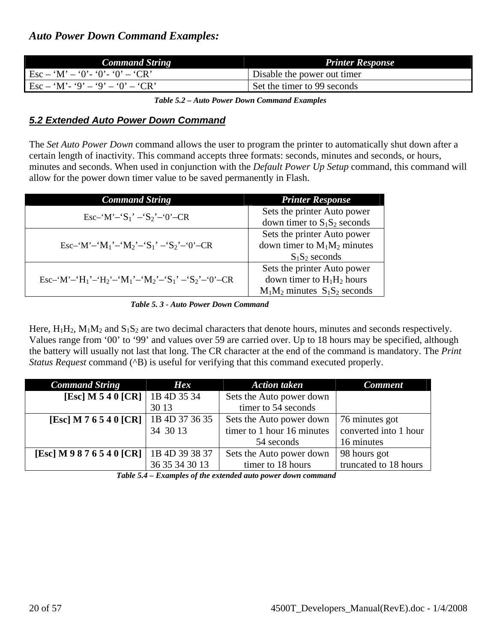<span id="page-19-0"></span>

| <b>Command String</b>                                                          | <b>Printer Response</b>     |
|--------------------------------------------------------------------------------|-----------------------------|
| $\text{Esc} - \text{'M'} - \text{'0'} - \text{'0'} - \text{'C'} - \text{'CR'}$ | Disable the power out timer |
| $\text{Esc} - \text{`M'} - \text{`9'} - \text{`9'} - \text{`0'} - \text{`CR'}$ | Set the timer to 99 seconds |

 *Table 5.2 – Auto Power Down Command Examples* 

# *5.2 Extended Auto Power Down Command*

The *Set Auto Power Down* command allows the user to program the printer to automatically shut down after a certain length of inactivity. This command accepts three formats: seconds, minutes and seconds, or hours, minutes and seconds. When used in conjunction with the *Default Power Up Setup* command, this command will allow for the power down timer value to be saved permanently in Flash.

| <b>Command String</b>                                                                                                      | <b>Printer Response</b>           |
|----------------------------------------------------------------------------------------------------------------------------|-----------------------------------|
| Esc-'M'-'S <sub>1</sub> ' -'S <sub>2</sub> '-'0'-CR                                                                        | Sets the printer Auto power       |
|                                                                                                                            | down timer to $S_1S_2$ seconds    |
| Esc-'M'-'M <sub>1</sub> '-'M <sub>2</sub> '-'S <sub>1</sub> ' -'S <sub>2</sub> '-'0'-CR                                    | Sets the printer Auto power       |
|                                                                                                                            | down timer to $M_1M_2$ minutes    |
|                                                                                                                            | $S_1S_2$ seconds                  |
|                                                                                                                            | Sets the printer Auto power       |
| Esc-'M'-'H <sub>1</sub> '-'H <sub>2</sub> '-'M <sub>1</sub> '-'M <sub>2</sub> '-'S <sub>1</sub> '-'S <sub>2</sub> '-'0'-CR | down timer to $H_1H_2$ hours      |
|                                                                                                                            | $M_1M_2$ minutes $S_1S_2$ seconds |

 *Table 5. 3 - Auto Power Down Command* 

Here,  $H_1H_2$ ,  $M_1M_2$  and  $S_1S_2$  are two decimal characters that denote hours, minutes and seconds respectively. Values range from '00' to '99' and values over 59 are carried over. Up to 18 hours may be specified, although the battery will usually not last that long. The CR character at the end of the command is mandatory. The *Print Status Request* command (^B) is useful for verifying that this command executed properly.

| <b>Command String</b>                   | <b>Hex</b>     | <b>Action taken</b>        | <b>Comment</b>        |
|-----------------------------------------|----------------|----------------------------|-----------------------|
| [Esc] M 5 4 0 [CR]   1B 4D 35 34        |                | Sets the Auto power down   |                       |
|                                         | 30 13          | timer to 54 seconds        |                       |
| [Esc] M 7 6 5 4 0 [CR]   1B 4D 37 36 35 |                | Sets the Auto power down   | 76 minutes got        |
|                                         | 34 30 13       | timer to 1 hour 16 minutes | converted into 1 hour |
|                                         |                | 54 seconds                 | 16 minutes            |
| [Esc] M 9 8 7 6 5 4 0 [CR]              | 1B 4D 39 38 37 | Sets the Auto power down   | 98 hours got          |
|                                         | 36 35 34 30 13 | timer to 18 hours          | truncated to 18 hours |

 *Table 5.4 – Examples of the extended auto power down command*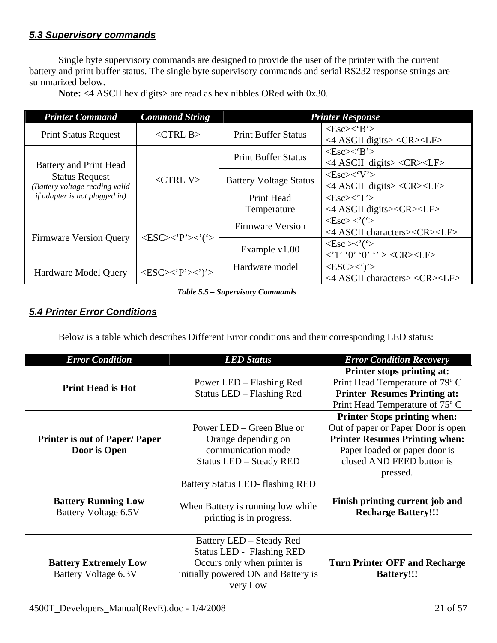# <span id="page-20-0"></span>*5.3 Supervisory commands*

Single byte supervisory commands are designed to provide the user of the printer with the current battery and print buffer status. The single byte supervisory commands and serial RS232 response strings are summarized below.

Note: <4 ASCII hex digits> are read as hex nibbles ORed with 0x30.

| <b>Printer Command</b>                                                                                                    | <b>Command String</b>                                      |                               | <b>Printer Response</b>                                                                                              |
|---------------------------------------------------------------------------------------------------------------------------|------------------------------------------------------------|-------------------------------|----------------------------------------------------------------------------------------------------------------------|
| <b>Print Status Request</b>                                                                                               | $\langle$ CTRL B $>$                                       | <b>Print Buffer Status</b>    | $<\text{Esc}\right>\lt$ $B$ ' $>$<br>$\langle$ ASCII digits> $\langle$ CR> $\langle$ LF>                             |
| Battery and Print Head<br><b>Status Request</b><br>(Battery voltage reading valid<br><i>if adapter is not plugged in)</i> | $<$ CTRL V $>$                                             | <b>Print Buffer Status</b>    | $<\text{Esc}\right>\lt$ $B$ ' $>$<br><4 ASCII digits> <cr><lf></lf></cr>                                             |
|                                                                                                                           |                                                            | <b>Battery Voltage Status</b> | $\langle Esc \rangle \langle V' \rangle$<br><4 ASCII digits> <cr><lf></lf></cr>                                      |
|                                                                                                                           |                                                            | Print Head<br>Temperature     | $<\text{Esc}\!\!>\!\!<\!\!T$<br><4 ASCII digits> <cr><lf></lf></cr>                                                  |
| <b>Firmware Version Query</b>                                                                                             | $\langle ESC \rangle \langle P' \rangle \langle ' \rangle$ | <b>Firmware Version</b>       | $\langle Esc \rangle \langle ' \rangle$<br><4 ASCII characters> <cr><lf></lf></cr>                                   |
|                                                                                                                           |                                                            | Example v1.00                 | $\langle$ Esc $>\!\!\!\times$ ' $($ ' $>$<br>$\langle 1' \, '0' \, '0' \, ' > \langle CR \rangle \langle LF \rangle$ |
| <b>Hardware Model Query</b>                                                                                               | $\langle ESC \rangle \langle P' \rangle \langle \rangle$   | Hardware model                | $<\text{ESC}\!\!>\!\!\cdot\!\!$ <sup>'</sup><br>$\langle$ ASCII characters> $\langle$ CR> $\langle$ LF>              |

 *Table 5.5 – Supervisory Commands* 

# *5.4 Printer Error Conditions*

Below is a table which describes Different Error conditions and their corresponding LED status:

| <b>Error Condition</b>                               | <b>LED Status</b>                                                                                                                              | <b>Error Condition Recovery</b>                                                                                                                                                              |
|------------------------------------------------------|------------------------------------------------------------------------------------------------------------------------------------------------|----------------------------------------------------------------------------------------------------------------------------------------------------------------------------------------------|
| <b>Print Head is Hot</b>                             | Power LED – Flashing Red<br>Status LED - Flashing Red                                                                                          | Printer stops printing at:<br>Print Head Temperature of 79° C<br><b>Printer Resumes Printing at:</b><br>Print Head Temperature of 75° C                                                      |
| <b>Printer is out of Paper/Paper</b><br>Door is Open | Power LED – Green Blue or<br>Orange depending on<br>communication mode<br>Status LED - Steady RED                                              | <b>Printer Stops printing when:</b><br>Out of paper or Paper Door is open<br><b>Printer Resumes Printing when:</b><br>Paper loaded or paper door is<br>closed AND FEED button is<br>pressed. |
| <b>Battery Running Low</b><br>Battery Voltage 6.5V   | Battery Status LED-flashing RED<br>When Battery is running low while<br>printing is in progress.                                               | Finish printing current job and<br><b>Recharge Battery!!!</b>                                                                                                                                |
| <b>Battery Extremely Low</b><br>Battery Voltage 6.3V | Battery LED - Steady Red<br><b>Status LED - Flashing RED</b><br>Occurs only when printer is<br>initially powered ON and Battery is<br>very Low | <b>Turn Printer OFF and Recharge</b><br><b>Battery!!!</b>                                                                                                                                    |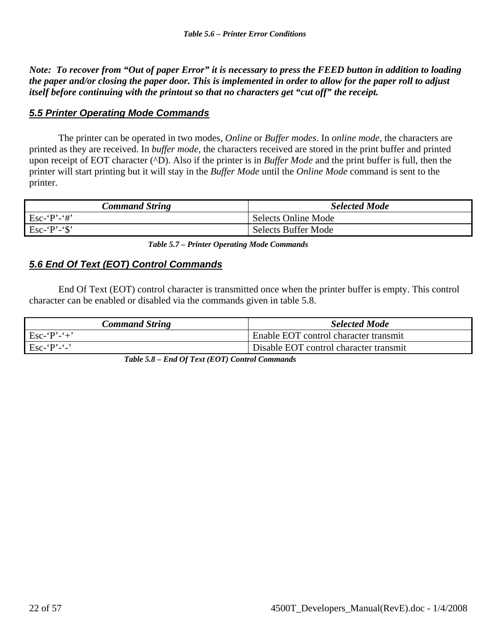<span id="page-21-0"></span>*Note: To recover from "Out of paper Error" it is necessary to press the FEED button in addition to loading the paper and/or closing the paper door. This is implemented in order to allow for the paper roll to adjust itself before continuing with the printout so that no characters get "cut off" the receipt.* 

# *5.5 Printer Operating Mode Commands*

The printer can be operated in two modes, *Online* or *Buffer modes*. In *online mode,* the characters are printed as they are received. In *buffer mode,* the characters received are stored in the print buffer and printed upon receipt of EOT character (^D). Also if the printer is in *Buffer Mode* and the print buffer is full, then the printer will start printing but it will stay in the *Buffer Mode* until the *Online Mode* command is sent to the printer.

| <b>Command String</b>      | <b>Selected Mode</b>       |
|----------------------------|----------------------------|
| $Esc - P - #'$             | <b>Selects Online Mode</b> |
| Esc-'P'-' $\mathcal{S}'$ ' | <b>Selects Buffer Mode</b> |

 *Table 5.7 – Printer Operating Mode Commands* 

# *5.6 End Of Text (EOT) Control Commands*

End Of Text (EOT) control character is transmitted once when the printer buffer is empty. This control character can be enabled or disabled via the commands given in table 5.8.

| Command String  | <b>Selected Mode</b>                   |
|-----------------|----------------------------------------|
| $Esc - P' - +'$ | Enable EOT control character transmit  |
| $Esc - P' - ?$  | Disable EOT control character transmit |

 *Table 5.8 – End Of Text (EOT) Control Commands*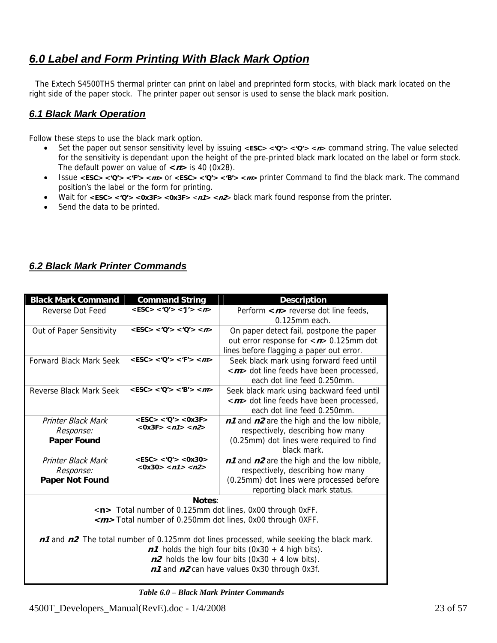# <span id="page-22-0"></span>*6.0 Label and Form Printing With Black Mark Option*

 The Extech S4500THS thermal printer can print on label and preprinted form stocks, with black mark located on the right side of the paper stock. The printer paper out sensor is used to sense the black mark position.

# *6.1 Black Mark Operation*

Follow these steps to use the black mark option.

- Set the paper out sensor sensitivity level by issuing **<ESC> <'Q'> <'Q'> <n>** command string. The value selected for the sensitivity is dependant upon the height of the pre-printed black mark located on the label or form stock. The default power on value of  $\langle n \rangle$  is 40 (0x28).
- Issue **<ESC> <'Q'> <'F'> <m>** or **<ESC> <'Q'> <'B'> <m>** printer Command to find the black mark. The command position's the label or the form for printing.
- Wait for **<ESC> <'Q'> <0x3F> <0x3F>** <**n1> <n2**> black mark found response from the printer.
- Send the data to be printed.

# *6.2 Black Mark Printer Commands*

| <b>Black Mark Command</b>                     | <b>Command String</b>             | <b>Description</b>                                                                       |  |  |
|-----------------------------------------------|-----------------------------------|------------------------------------------------------------------------------------------|--|--|
| Reverse Dot Feed                              | $<$ ESC> $<$ 'Q'> $<$ 'J'> $<$ n> | Perform $\langle n \rangle$ reverse dot line feeds,                                      |  |  |
|                                               |                                   | $0.125$ mm each.                                                                         |  |  |
| Out of Paper Sensitivity                      | $<$ ESC> $<$ 'Q'> $<$ 'Q'> $<$ n> | On paper detect fail, postpone the paper                                                 |  |  |
|                                               |                                   | out error response for $\langle n \rangle$ 0.125mm dot                                   |  |  |
|                                               |                                   | lines before flagging a paper out error.                                                 |  |  |
| <b>Forward Black Mark Seek</b>                | $<$ ESC> $<$ 'Q'> $<$ 'F'> $<$ m> | Seek black mark using forward feed until                                                 |  |  |
|                                               |                                   | < <i>m</i> > dot line feeds have been processed,                                         |  |  |
|                                               |                                   | each dot line feed 0.250mm.                                                              |  |  |
| Reverse Black Mark Seek                       | $<$ ESC> $<$ 'O'> $<$ 'B'> $<$ m> | Seek black mark using backward feed until                                                |  |  |
|                                               |                                   | < <i>m</i> > dot line feeds have been processed,                                         |  |  |
|                                               |                                   | each dot line feed 0.250mm.                                                              |  |  |
| Printer Black Mark                            | $<$ ESC> $<$ 'Q'> $<$ 0x3F>       | $n1$ and $n2$ are the high and the low nibble,                                           |  |  |
| $<$ 0x3F> $<$ n1> $<$ n2><br><i>Response:</i> |                                   | respectively, describing how many                                                        |  |  |
| <b>Paper Found</b>                            |                                   | (0.25mm) dot lines were required to find                                                 |  |  |
|                                               |                                   | black mark.                                                                              |  |  |
| <b>Printer Black Mark</b>                     | $<$ ESC> $<$ 'O'> $<$ 0x30>       | $n1$ and $n2$ are the high and the low nibble,                                           |  |  |
| Response:                                     | $<0x30>$ < n1> < n2>              | respectively, describing how many                                                        |  |  |
| Paper Not Found                               |                                   | (0.25mm) dot lines were processed before                                                 |  |  |
|                                               |                                   | reporting black mark status.                                                             |  |  |
|                                               | Notes:                            |                                                                                          |  |  |
|                                               |                                   | <n> Total number of 0.125mm dot lines, 0x00 through 0xFF.</n>                            |  |  |
|                                               |                                   | <m>Total number of 0.250mm dot lines, 0x00 through 0XFF.</m>                             |  |  |
|                                               |                                   |                                                                                          |  |  |
|                                               |                                   | n1 and n2 The total number of 0.125mm dot lines processed, while seeking the black mark. |  |  |
|                                               |                                   | $n1$ holds the high four bits (0x30 + 4 high bits).                                      |  |  |
|                                               |                                   | $n2$ holds the low four bits (0x30 + 4 low bits).                                        |  |  |
|                                               |                                   | n1 and n2 can have values 0x30 through 0x3f.                                             |  |  |

 *Table 6.0 – Black Mark Printer Commands*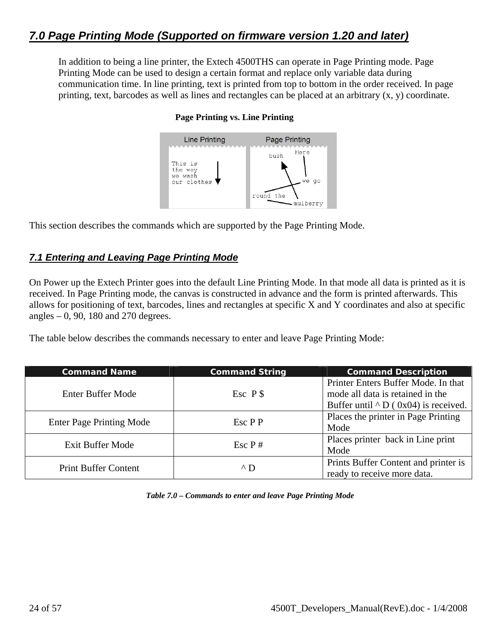<span id="page-23-0"></span>In addition to being a line printer, the Extech 4500THS can operate in Page Printing mode. Page Printing Mode can be used to design a certain format and replace only variable data during communication time. In line printing, text is printed from top to bottom in the order received. In page printing, text, barcodes as well as lines and rectangles can be placed at an arbitrary (x, y) coordinate.



### **Page Printing vs. Line Printing**

This section describes the commands which are supported by the Page Printing Mode.

# *7.1 Entering and Leaving Page Printing Mode*

On Power up the Extech Printer goes into the default Line Printing Mode. In that mode all data is printed as it is received. In Page Printing mode, the canvas is constructed in advance and the form is printed afterwards. This allows for positioning of text, barcodes, lines and rectangles at specific X and Y coordinates and also at specific angles  $-0$ , 90, 180 and 270 degrees.

The table below describes the commands necessary to enter and leave Page Printing Mode:

| <b>Command Name</b>             | <b>Command String</b>    | <b>Command Description</b>                  |  |  |  |
|---------------------------------|--------------------------|---------------------------------------------|--|--|--|
|                                 |                          | Printer Enters Buffer Mode. In that         |  |  |  |
| <b>Enter Buffer Mode</b>        | $Esc$ $P$ \$             | mode all data is retained in the            |  |  |  |
|                                 |                          | Buffer until $\wedge$ D (0x04) is received. |  |  |  |
|                                 | $\operatorname{Esc}$ P P | Places the printer in Page Printing         |  |  |  |
| <b>Enter Page Printing Mode</b> |                          | Mode                                        |  |  |  |
| Exit Buffer Mode                | $\operatorname{Esc} P$ # | Places printer back in Line print           |  |  |  |
|                                 |                          | Mode                                        |  |  |  |
| <b>Print Buffer Content</b>     | $\wedge$ D               | Prints Buffer Content and printer is        |  |  |  |
|                                 |                          | ready to receive more data.                 |  |  |  |

*Table 7.0 – Commands to enter and leave Page Printing Mode*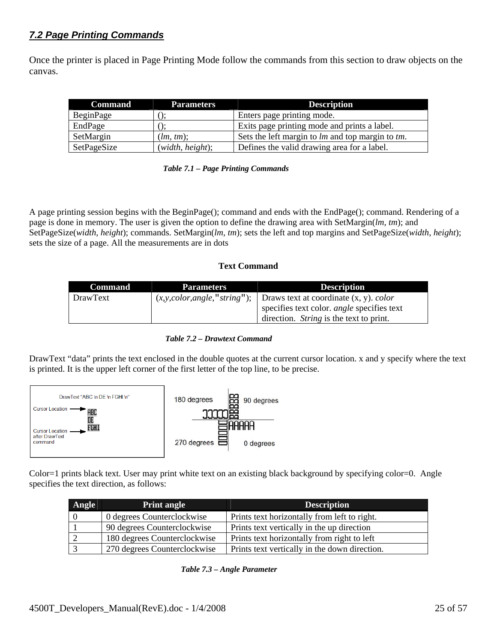# <span id="page-24-0"></span>*7.2 Page Printing Commands*

Once the printer is placed in Page Printing Mode follow the commands from this section to draw objects on the canvas.

| <b>Command</b> | <b>Parameters</b> | <b>Description</b>                               |  |  |
|----------------|-------------------|--------------------------------------------------|--|--|
| BeginPage      |                   | Enters page printing mode.                       |  |  |
| EndPage        |                   | Exits page printing mode and prints a label.     |  |  |
| SetMargin      | (lm, tm);         | Sets the left margin to lm and top margin to tm. |  |  |
| SetPageSize    | (width, height);  | Defines the valid drawing area for a label.      |  |  |

|  | Table 7.1 - Page Printing Commands |
|--|------------------------------------|
|--|------------------------------------|

A page printing session begins with the BeginPage(); command and ends with the EndPage(); command. Rendering of a page is done in memory. The user is given the option to define the drawing area with SetMargin(*lm, tm*); and SetPageSize(*width, height*); commands. SetMargin(*lm, tm*); sets the left and top margins and SetPageSize(*width, height*); sets the size of a page. All the measurements are in dots

### **Text Command**

| <b>Command</b> | <b>Parameters</b>               | <b>Description</b>                                |  |  |
|----------------|---------------------------------|---------------------------------------------------|--|--|
| DrawText       | (x, y, color, angle, "string"); | Draws text at coordinate $(x, y)$ . <i>color</i>  |  |  |
|                |                                 | specifies text color. <i>angle</i> specifies text |  |  |
|                |                                 | direction. <i>String</i> is the text to print.    |  |  |

### *Table 7.2 – Drawtext Command*

DrawText "data" prints the text enclosed in the double quotes at the current cursor location. x and y specify where the text is printed. It is the upper left corner of the first letter of the top line, to be precise.



Color=1 prints black text. User may print white text on an existing black background by specifying color=0. Angle specifies the text direction, as follows:

| Angle | <b>Print angle</b>           | <b>Description</b>                            |  |  |
|-------|------------------------------|-----------------------------------------------|--|--|
|       | 0 degrees Counterclockwise   | Prints text horizontally from left to right.  |  |  |
|       | 90 degrees Counterclockwise  | Prints text vertically in the up direction    |  |  |
|       | 180 degrees Counterclockwise | Prints text horizontally from right to left   |  |  |
|       | 270 degrees Counterclockwise | Prints text vertically in the down direction. |  |  |

*Table 7.3 – Angle Parameter*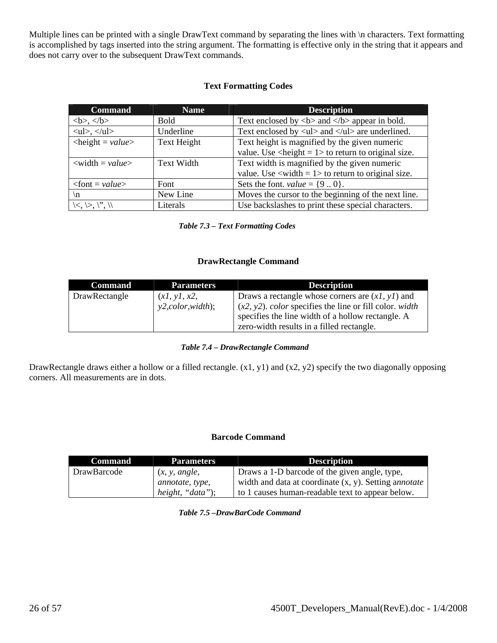Multiple lines can be printed with a single DrawText command by separating the lines with \n characters. Text formatting is accomplished by tags inserted into the string argument. The formatting is effective only in the string that it appears and does not carry over to the subsequent DrawText commands.

### **Text Formatting Codes**

| <b>Command</b>                                | <b>Name</b>       | <b>Description</b>                                                             |  |  |  |
|-----------------------------------------------|-------------------|--------------------------------------------------------------------------------|--|--|--|
| , $<$ b>                                      | <b>Bold</b>       | Text enclosed by $5$ and $5$ appear in bold.                                   |  |  |  |
| $\langle ul \rangle, \langle ul \rangle$      | Underline         | Text enclosed by $\langle ul \rangle$ and $\langle ul \rangle$ are underlined. |  |  |  |
| $\langle height = value \rangle$              | Text Height       | Text height is magnified by the given numeric                                  |  |  |  |
|                                               |                   | value. Use $\langle$ height = 1 > to return to original size.                  |  |  |  |
| $\langle \text{width} = \text{value} \rangle$ | <b>Text Width</b> | Text width is magnified by the given numeric                                   |  |  |  |
|                                               |                   | value. Use $\langle$ width = 1> to return to original size.                    |  |  |  |
| $<$ font = value>                             | Font              | Sets the font. <i>value</i> = $\{90\}$ .                                       |  |  |  |
| $\ln$                                         | New Line          | Moves the cursor to the beginning of the next line.                            |  |  |  |
| $\left  \leq, \leq, \right  \right $          | Literals          | Use backslashes to print these special characters.                             |  |  |  |

*Table 7.3 – Text Formatting Codes*

### **DrawRectangle Command**

| <b>Command</b> | <b>Parameters</b>  | <b>Description</b>                                                       |
|----------------|--------------------|--------------------------------------------------------------------------|
| DrawRectangle  | (x1, y1, x2,       | Draws a rectangle whose corners are $(xl, yl)$ and                       |
|                | y2, color, width); | $(x2, y2)$ . <i>color</i> specifies the line or fill color. <i>width</i> |
|                |                    | specifies the line width of a hollow rectangle. A                        |
|                |                    | zero-width results in a filled rectangle.                                |

### *Table 7.4 – DrawRectangle Command*

DrawRectangle draws either a hollow or a filled rectangle. (x1, y1) and (x2, y2) specify the two diagonally opposing corners. All measurements are in dots.

### **Barcode Command**

| Command            | <b>Parameters</b> | <b>Description</b>                                       |
|--------------------|-------------------|----------------------------------------------------------|
| <b>DrawBarcode</b> | (x, y, angle,     | Draws a 1-D barcode of the given angle, type,            |
|                    | annotate, type,   | width and data at coordinate $(x, y)$ . Setting annotate |
|                    | height, "data");  | to 1 causes human-readable text to appear below.         |

*Table 7.5 –DrawBarCode Command*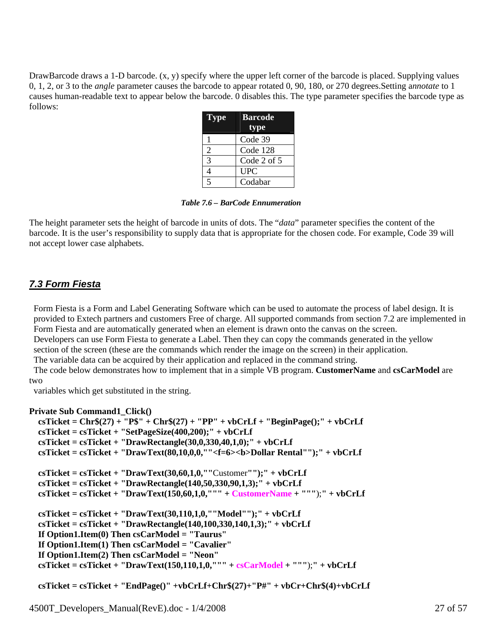<span id="page-26-0"></span>DrawBarcode draws a 1-D barcode. (x, y) specify where the upper left corner of the barcode is placed. Supplying values 0, 1, 2, or 3 to the *angle* parameter causes the barcode to appear rotated 0, 90, 180, or 270 degrees.Setting a*nnotate* to 1 causes human-readable text to appear below the barcode. 0 disables this. The type parameter specifies the barcode type as follows:

| <b>Type</b>    | <b>Barcode</b>  |  |  |
|----------------|-----------------|--|--|
|                | type            |  |  |
|                | Code 39         |  |  |
| 2              | Code 128        |  |  |
| 3              | Code $2$ of $5$ |  |  |
| 4              | <b>UPC</b>      |  |  |
| $\overline{5}$ | Codabar         |  |  |

*Table 7.6 – BarCode Ennumeration* 

The height parameter sets the height of barcode in units of dots. The "*data*" parameter specifies the content of the barcode. It is the user's responsibility to supply data that is appropriate for the chosen code. For example, Code 39 will not accept lower case alphabets.

# *7.3 Form Fiesta*

 Form Fiesta is a Form and Label Generating Software which can be used to automate the process of label design. It is provided to Extech partners and customers Free of charge. All supported commands from section 7.2 are implemented in Form Fiesta and are automatically generated when an element is drawn onto the canvas on the screen.

 Developers can use Form Fiesta to generate a Label. Then they can copy the commands generated in the yellow section of the screen (these are the commands which render the image on the screen) in their application.

The variable data can be acquired by their application and replaced in the command string.

 The code below demonstrates how to implement that in a simple VB program. **CustomerName** and **csCarModel** are two

variables which get substituted in the string.

```
Private Sub Command1_Click()
```

```
 csTicket = Chr$(27) + "P$" + Chr$(27) + "PP" + vbCrLf + "BeginPage();" + vbCrLf 
 csTicket = csTicket + "SetPageSize(400,200);" + vbCrLf 
 csTicket = csTicket + "DrawRectangle(30,0,330,40,1,0);" + vbCrLf 
 csTicket = csTicket + "DrawText(80,10,0,0,""<f=6><b>Dollar Rental"");" + vbCrLf 
 csTicket = csTicket + "DrawText(30,60,1,0,""Customer"");" + vbCrLf 
 csTicket = csTicket + "DrawRectangle(140,50,330,90,1,3);" + vbCrLf 
 csTicket = csTicket + "DrawText(150,60,1,0,""" + CustomerName + """);" + vbCrLf 
 csTicket = csTicket + "DrawText(30,110,1,0,""Model"");" + vbCrLf 
 csTicket = csTicket + "DrawRectangle(140,100,330,140,1,3);" + vbCrLf 
 If Option1.Item(0) Then csCarModel = "Taurus" 
 If Option1.Item(1) Then csCarModel = "Cavalier" 
 If Option1.Item(2) Then csCarModel = "Neon" 
 csTicket = csTicket + "DrawText(150,110,1,0,""" + csCarModel + """);" + vbCrLf
```

```
 csTicket = csTicket + "EndPage()" +vbCrLf+Chr$(27)+"P#" + vbCr+Chr$(4)+vbCrLf
```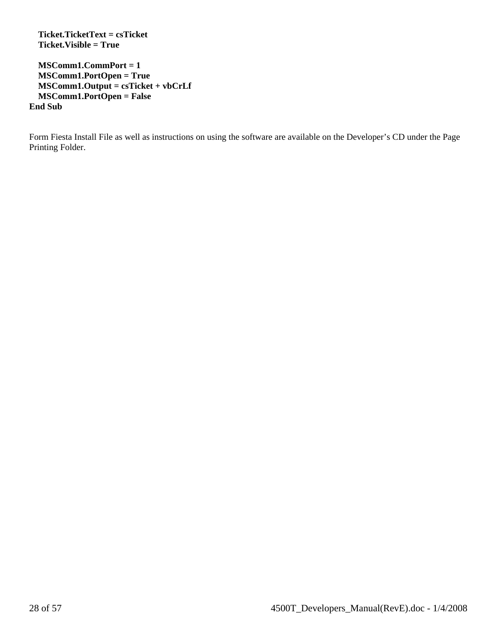**Ticket.TicketText = csTicket Ticket.Visible = True** 

 **MSComm1.CommPort = 1 MSComm1.PortOpen = True MSComm1.Output = csTicket + vbCrLf MSComm1.PortOpen = False End Sub** 

Form Fiesta Install File as well as instructions on using the software are available on the Developer's CD under the Page Printing Folder.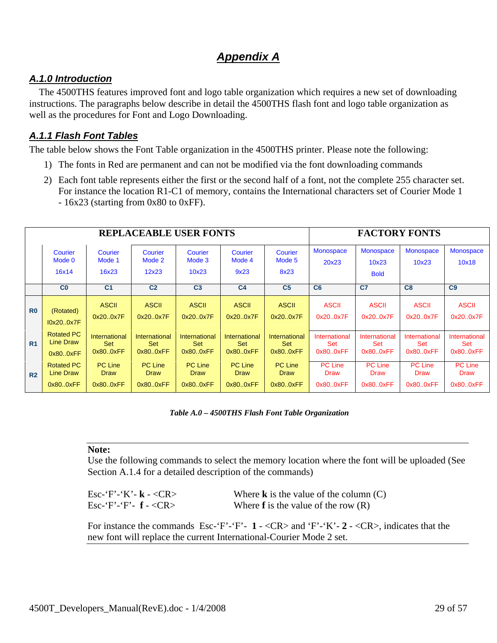# *Appendix A*

# <span id="page-28-0"></span>*A.1.0 Introduction*

The 4500THS features improved font and logo table organization which requires a new set of downloading instructions. The paragraphs below describe in detail the 4500THS flash font and logo table organization as well as the procedures for Font and Logo Downloading.

# *A.1.1 Flash Font Tables*

The table below shows the Font Table organization in the 4500THS printer. Please note the following:

- 1) The fonts in Red are permanent and can not be modified via the font downloading commands
- 2) Each font table represents either the first or the second half of a font, not the complete 255 character set. For instance the location R1-C1 of memory, contains the International characters set of Courier Mode 1 - 16x23 (starting from 0x80 to 0xFF).

|                | <b>REPLACEABLE USER FONTS</b> |                            |                            |                            |                           |                           |                    | <b>FACTORY FONTS</b>                     |                           |                           |
|----------------|-------------------------------|----------------------------|----------------------------|----------------------------|---------------------------|---------------------------|--------------------|------------------------------------------|---------------------------|---------------------------|
|                | Courier<br>Mode 0<br>16x14    | Courier<br>Mode 1<br>16x23 | Courier<br>Mode 2<br>12x23 | Courier<br>Mode 3<br>10x23 | Courier<br>Mode 4<br>9x23 | Courier<br>Mode 5<br>8x23 | Monospace<br>20x23 | <b>Monospace</b><br>10x23<br><b>Bold</b> | <b>Monospace</b><br>10x23 | <b>Monospace</b><br>10x18 |
|                | C <sub>0</sub>                | C <sub>1</sub>             | C <sub>2</sub>             | C <sub>3</sub>             | C <sub>4</sub>            | C <sub>5</sub>            | C6                 | C <sub>7</sub>                           | C8                        | C <sub>9</sub>            |
| R <sub>0</sub> | (Rotated)                     | <b>ASCII</b>               | <b>ASCII</b>               | <b>ASCII</b>               | <b>ASCII</b>              | <b>ASCII</b>              | <b>ASCII</b>       | <b>ASCII</b>                             | <b>ASCII</b>              | <b>ASCII</b>              |
|                | I0x200x7F                     | 0x200x7F                   | 0x200x7F                   | 0x200x7F                   | 0x200x7F                  | 0x200x7F                  | 0x200x7F           | 0x200x7F                                 | 0x200x7F                  | 0x200x7F                  |
| R <sub>1</sub> | <b>Rotated PC</b>             | International              | International              | International              | International             | International             | International      | International                            | International             | International             |
|                | Line Draw                     | <b>Set</b>                 | <b>Set</b>                 | Set                        | Set                       | <b>Set</b>                | <b>Set</b>         | <b>Set</b>                               | Set                       | <b>Set</b>                |
|                | 0x80.0xFF                     | 0x80.0xFF                  | 0x80.0xFF                  | 0x80.0xFF                  | 0x80.0xFF                 | 0x80.0xFF                 | 0x80.0xFF          | 0x80.0xFF                                | 0x800xFF                  | 0x80.0xFF                 |
| R <sub>2</sub> | <b>Rotated PC</b>             | <b>PC Line</b>             | <b>PC Line</b>             | <b>PC</b> Line             | <b>PC Line</b>            | <b>PC Line</b>            | <b>PC Line</b>     | <b>PC Line</b>                           | <b>PC Line</b>            | <b>PC Line</b>            |
|                | <b>Line Draw</b>              | Draw                       | <b>Draw</b>                | <b>Draw</b>                | <b>Draw</b>               | <b>Draw</b>               | <b>Draw</b>        | <b>Draw</b>                              | <b>Draw</b>               | <b>Draw</b>               |
|                | 0x80.0xFF                     | 0x80.0xFF                  | 0x800xFF                   | 0x800xFF                   | 0x80.0xFF                 | 0x80.0xFF                 | 0x80.0xFF          | 0x80.0xFF                                | 0x800xFF                  | 0x80.0xFF                 |

 *Table A.0 – 4500THS Flash Font Table Organization* 

### **Note:**

Use the following commands to select the memory location where the font will be uploaded (See Section A.1.4 for a detailed description of the commands)

Esc-'F'-'K'- **k** - <CR><br>
Esc-'F'-'F'- **f** - <CR><br>
Where **f** is the value of the row (R) Where  $f$  is the value of the row  $(R)$ 

For instance the commands Esc-'F'-'F'- **1** - <CR> and 'F'-'K'- **2** - <CR>, indicates that the new font will replace the current International-Courier Mode 2 set.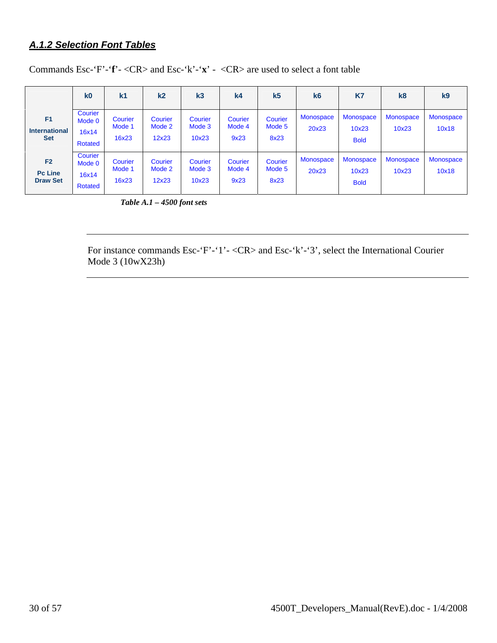# <span id="page-29-0"></span>*A.1.2 Selection Font Tables*

| Commands Esc-'F'-'f' - < CR > and Esc-'k' - 'x' - < CR > are used to select a font table |  |
|------------------------------------------------------------------------------------------|--|
|------------------------------------------------------------------------------------------|--|

|                                                      | k <sub>0</sub>                        | k <sub>1</sub>             | k <sub>2</sub>             | k <sub>3</sub>             | k <sub>4</sub>            | k <sub>5</sub>            | k6                        | K7                                       | k8                        | k <sub>9</sub>            |
|------------------------------------------------------|---------------------------------------|----------------------------|----------------------------|----------------------------|---------------------------|---------------------------|---------------------------|------------------------------------------|---------------------------|---------------------------|
| F <sub>1</sub><br><b>International</b><br><b>Set</b> | Courier<br>Mode 0<br>16x14<br>Rotated | Courier<br>Mode 1<br>16x23 | Courier<br>Mode 2<br>12x23 | Courier<br>Mode 3<br>10x23 | Courier<br>Mode 4<br>9x23 | Courier<br>Mode 5<br>8x23 | <b>Monospace</b><br>20x23 | <b>Monospace</b><br>10x23<br><b>Bold</b> | <b>Monospace</b><br>10x23 | <b>Monospace</b><br>10x18 |
| F <sub>2</sub><br><b>Pc Line</b><br><b>Draw Set</b>  | Courier<br>Mode 0<br>16x14<br>Rotated | Courier<br>Mode 1<br>16x23 | Courier<br>Mode 2<br>12x23 | Courier<br>Mode 3<br>10x23 | Courier<br>Mode 4<br>9x23 | Courier<br>Mode 5<br>8x23 | <b>Monospace</b><br>20x23 | Monospace<br>10x23<br><b>Bold</b>        | <b>Monospace</b><br>10x23 | Monospace<br>10x18        |

 *Table A.1 – 4500 font sets* 

For instance commands Esc-'F'-'1'- <CR> and Esc-'k'-'3', select the International Courier Mode 3 (10wX23h)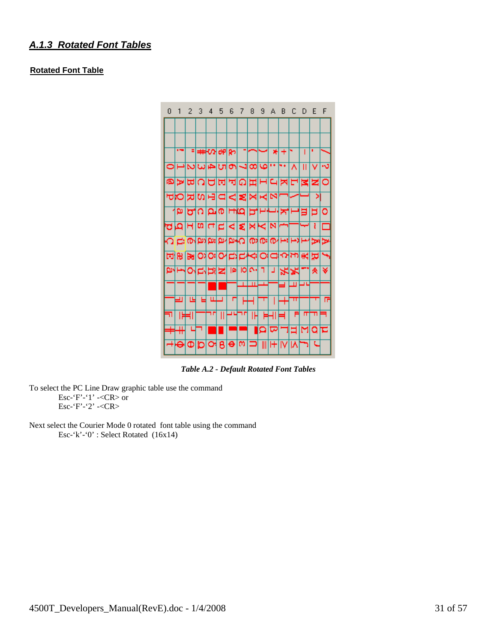## <span id="page-30-0"></span>*A.1.3 Rotated Font Tables*

### **Rotated Font Table**



*Table A.2 - Default Rotated Font Tables* 

To select the PC Line Draw graphic table use the command Esc-'F'-'1' -<CR> or Esc-'F'-'2' -<CR>

Next select the Courier Mode 0 rotated font table using the command Esc-'k'-'0' : Select Rotated (16x14)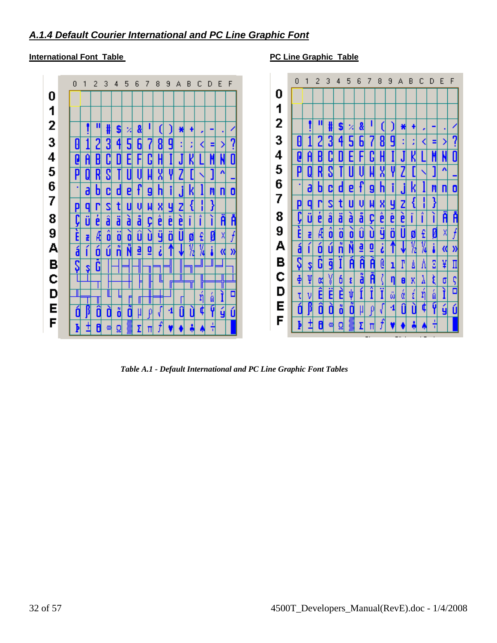# <span id="page-31-0"></span>*A.1.4 Default Courier International and PC Line Graphic Font*

### **International Font Table PC Line Graphic Table**



 *Table A.1 - Default International and PC Line Graphic Font Tables*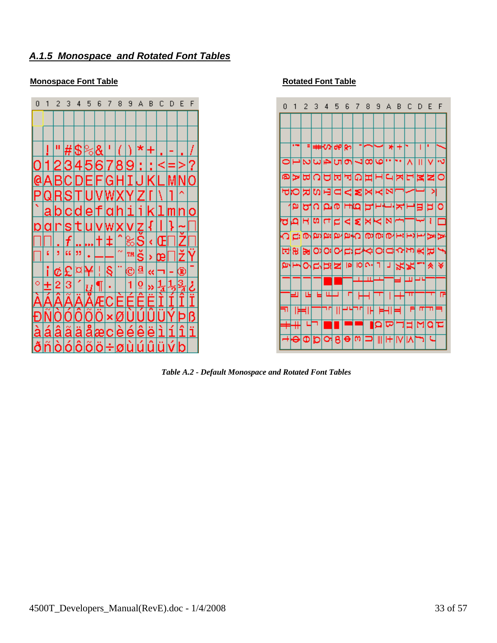# <span id="page-32-0"></span>*A.1.5 Monospace and Rotated Font Tables*

### **Monospace Font Table Rotated Font Table**





 *Table A.2 - Default Monospace and Rotated Font Tables*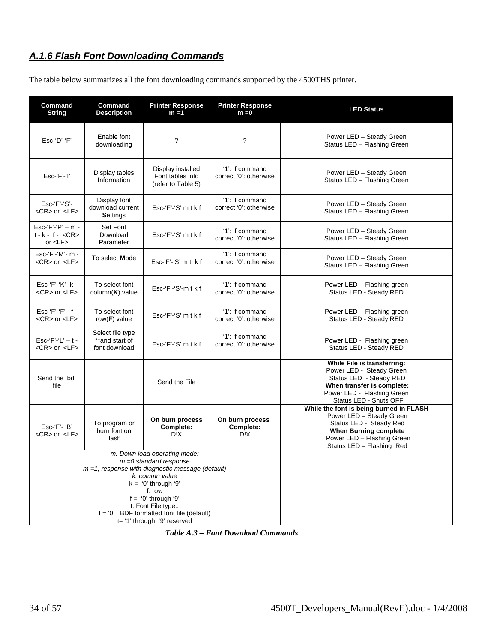# <span id="page-33-0"></span>*A.1.6 Flash Font Downloading Commands*

The table below summarizes all the font downloading commands supported by the 4500THS printer.

| Command<br><b>String</b>                                                                                                                                                                                                                                                                              | Command<br><b>Description</b>                       | <b>Printer Response</b><br>$m = 1$                          | <b>Printer Response</b><br>$m = 0$        | <b>LED Status</b>                                                                                                                                                                         |
|-------------------------------------------------------------------------------------------------------------------------------------------------------------------------------------------------------------------------------------------------------------------------------------------------------|-----------------------------------------------------|-------------------------------------------------------------|-------------------------------------------|-------------------------------------------------------------------------------------------------------------------------------------------------------------------------------------------|
| $Esc$ -' $D$ '-' $F$ '                                                                                                                                                                                                                                                                                | Enable font<br>downloading                          | ?                                                           | $\ddot{\phantom{0}}$                      | Power LED - Steady Green<br>Status LED - Flashing Green                                                                                                                                   |
| $Esc$ $F$ $'$ $'$                                                                                                                                                                                                                                                                                     | Display tables<br><b>Information</b>                | Display installed<br>Font tables info<br>(refer to Table 5) | '1': if command<br>correct '0': otherwise | Power LED - Steady Green<br>Status LED - Flashing Green                                                                                                                                   |
| Esc-'F'-'S'-<br><cr> or <lf></lf></cr>                                                                                                                                                                                                                                                                | Display font<br>download current<br><b>Settings</b> | $Esc-f'-S'mtkf$                                             | '1': if command<br>correct '0': otherwise | Power LED - Steady Green<br>Status LED - Flashing Green                                                                                                                                   |
| Esc-'F'-'P' $-$ m -<br>$t - k - f - <\text{CR}$<br>or $<$ L $F$ $>$                                                                                                                                                                                                                                   | Set Font<br>Download<br>Parameter                   | $Esc-f'-S'mtkf$                                             | '1': if command<br>correct '0': otherwise | Power LED - Steady Green<br>Status LED - Flashing Green                                                                                                                                   |
| Esc-'F'-'M'- m -<br><cr> or <lf></lf></cr>                                                                                                                                                                                                                                                            | To select <b>Mode</b>                               | $Esc-f'-S'mt$ kf                                            | '1': if command<br>correct '0': otherwise | Power LED - Steady Green<br>Status LED - Flashing Green                                                                                                                                   |
| Esc-'F'-'K'- k -<br><cr> or <lf></lf></cr>                                                                                                                                                                                                                                                            | To select font<br>$column(K)$ value                 | $Esc-f'$ -'S'- $m$ tkf                                      | '1': if command<br>correct '0': otherwise | Power LED - Flashing green<br>Status LED - Steady RED                                                                                                                                     |
| $Esc$ -' $F$ ' $-F$ ' $-$ f $-$<br><cr> or <lf></lf></cr>                                                                                                                                                                                                                                             | To select font<br>row( $F$ ) value                  | $Esc-f'-S'mtkf$                                             | '1': if command<br>correct '0': otherwise | Power LED - Flashing green<br>Status LED - Steady RED                                                                                                                                     |
| $Esc$ -' $F$ '-' $L$ ' – t -<br><cr> or <lf></lf></cr>                                                                                                                                                                                                                                                | Select file type<br>**and start of<br>font download | $Esc$ -' $F$ ' $-S'$ m t k f                                | '1': if command<br>correct '0': otherwise | Power LED - Flashing green<br>Status LED - Steady RED                                                                                                                                     |
| Send the .bdf<br>file                                                                                                                                                                                                                                                                                 |                                                     | Send the File                                               |                                           | While File is transferring:<br>Power LED - Steady Green<br>Status LED - Steady RED<br>When transfer is complete:<br>Power LED - Flashing Green<br>Status LED - Shuts OFF                  |
| $Esc-F - B'$<br><cr> or <lf></lf></cr>                                                                                                                                                                                                                                                                | To program or<br>burn font on<br>flash              | On burn process<br>Complete:<br>D!X                         | On burn process<br>Complete:<br>D!X       | While the font is being burned in FLASH<br>Power LED - Steady Green<br>Status LED - Steady Red<br><b>When Burning complete</b><br>Power LED - Flashing Green<br>Status LED - Flashing Red |
| m: Down load operating mode:<br>$m = 0$ , standard response<br>$m = 1$ , response with diagnostic message (default)<br>k: column value<br>$k = '0'$ through '9'<br>f: row<br>$f = '0'$ through '9'<br>t: Font File type<br>$t = '0'$ BDF formatted font file (default)<br>t= '1' through '9' reserved |                                                     |                                                             |                                           |                                                                                                                                                                                           |

 *Table A.3 – Font Download Commands*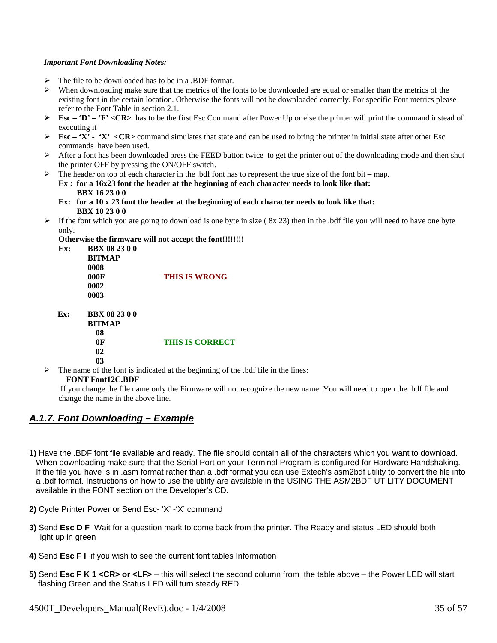### <span id="page-34-0"></span>*Important Font Downloading Notes:*

- $\triangleright$  The file to be downloaded has to be in a .BDF format.
- $\triangleright$  When downloading make sure that the metrics of the fonts to be downloaded are equal or smaller than the metrics of the existing font in the certain location. Otherwise the fonts will not be downloaded correctly. For specific Font metrics please refer to the Font Table in section 2.1.
- ¾ **Esc 'D' 'F' <CR>** has to be the first Esc Command after Power Up or else the printer will print the command instead of executing it
- $\triangleright$  **Esc** 'X' 'X' < CR> command simulates that state and can be used to bring the printer in initial state after other Esc commands have been used.
- $\triangleright$  After a font has been downloaded press the FEED button twice to get the printer out of the downloading mode and then shut the printer OFF by pressing the ON/OFF switch.
- $\triangleright$  The header on top of each character in the .bdf font has to represent the true size of the font bit map. **Ex : for a 16x23 font the header at the beginning of each character needs to look like that: BBX 16 23 0 0** 
	- **Ex: for a 10 x 23 font the header at the beginning of each character needs to look like that: BBX 10 23 0 0**
- $\triangleright$  If the font which you are going to download is one byte in size (8x 23) then in the .bdf file you will need to have one byte only.

**Otherwise the firmware will not accept the font!!!!!!!!** 

**Ex: BBX 08 23 0 0 BITMAP 0008 000F THIS IS WRONG 0002 0003** 

 **Ex: BBX 08 23 0 0 BITMAP 08** 

### **0F THIS IS CORRECT**

 **02 03** 

 $\triangleright$  The name of the font is indicated at the beginning of the .bdf file in the lines:

### **FONT Font12C.BDF**

 If you change the file name only the Firmware will not recognize the new name. You will need to open the .bdf file and change the name in the above line.

### *A.1.7. Font Downloading – Example*

- **1)** Have the .BDF font file available and ready. The file should contain all of the characters which you want to download. When downloading make sure that the Serial Port on your Terminal Program is configured for Hardware Handshaking. If the file you have is in .asm format rather than a .bdf format you can use Extech's asm2bdf utility to convert the file into a .bdf format. Instructions on how to use the utility are available in the USING THE ASM2BDF UTILITY DOCUMENT available in the FONT section on the Developer's CD.
- **2)** Cycle Printer Power or Send Esc- 'X' -'X' command
- **3)** Send **Esc D F** Wait for a question mark to come back from the printer. The Ready and status LED should both light up in green
- **4)** Send **Esc F I** if you wish to see the current font tables Information
- **5)** Send **Esc F K 1 <CR> or <LF>** this will select the second column from the table above the Power LED will start flashing Green and the Status LED will turn steady RED.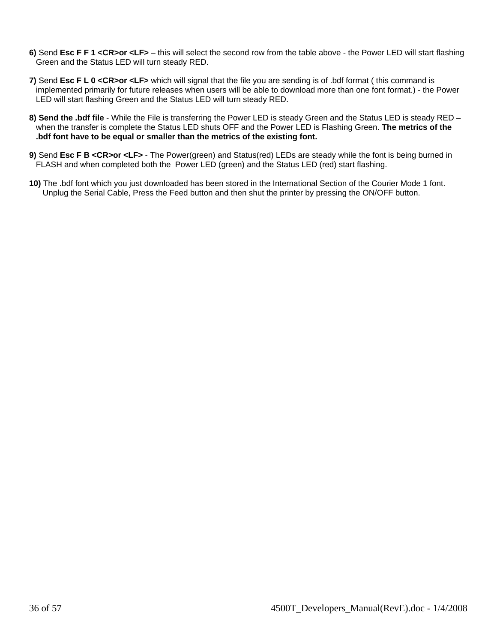- **6)** Send **Esc F F 1 <CR>or <LF>** this will select the second row from the table above the Power LED will start flashing Green and the Status LED will turn steady RED.
- **7)** Send **Esc F L 0 <CR>or <LF>** which will signal that the file you are sending is of .bdf format ( this command is implemented primarily for future releases when users will be able to download more than one font format.) - the Power LED will start flashing Green and the Status LED will turn steady RED.
- **8) Send the .bdf file** While the File is transferring the Power LED is steady Green and the Status LED is steady RED when the transfer is complete the Status LED shuts OFF and the Power LED is Flashing Green. **The metrics of the .bdf font have to be equal or smaller than the metrics of the existing font.**
- **9)** Send **Esc F B <CR>or <LF>** The Power(green) and Status(red) LEDs are steady while the font is being burned in FLASH and when completed both the Power LED (green) and the Status LED (red) start flashing.
- **10)** The .bdf font which you just downloaded has been stored in the International Section of the Courier Mode 1 font. Unplug the Serial Cable, Press the Feed button and then shut the printer by pressing the ON/OFF button.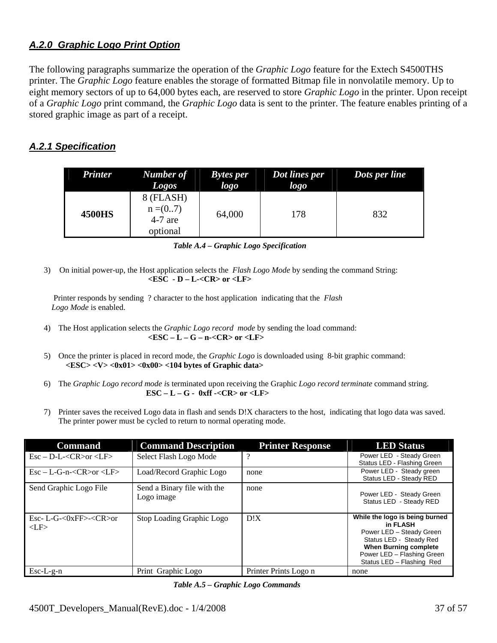# <span id="page-36-0"></span>*A.2.0 Graphic Logo Print Option*

The following paragraphs summarize the operation of the *Graphic Logo* feature for the Extech S4500THS printer. The *Graphic Logo* feature enables the storage of formatted Bitmap file in nonvolatile memory. Up to eight memory sectors of up to 64,000 bytes each, are reserved to store *Graphic Logo* in the printer. Upon receipt of a *Graphic Logo* print command, the *Graphic Logo* data is sent to the printer. The feature enables printing of a stored graphic image as part of a receipt.

# *A.2.1 Specification*

| <b>Printer</b> | Number of<br><b>Logos</b>                        | <b>Bytes</b> per<br>logo | Dot lines per<br>logo | Dots per line |
|----------------|--------------------------------------------------|--------------------------|-----------------------|---------------|
| <b>4500HS</b>  | 8 (FLASH)<br>$n = (07)$<br>$4-7$ are<br>optional | 64,000                   | 178                   | 832           |

 *Table A.4 – Graphic Logo Specification* 

3) On initial power-up, the Host application selects the *Flash Logo Mode* by sending the command String: **<ESC - D – L-<CR> or <LF>**

 Printer responds by sending ? character to the host application indicating that the *Flash Logo Mode* is enabled.

- 4) The Host application selects the *Graphic Logo record mode* by sending the load command: **<ESC – L – G – n-<CR> or <LF>**
- 5) Once the printer is placed in record mode, the *Graphic Logo* is downloaded using 8-bit graphic command: **<ESC> <V> <0x01> <0x00> <104 bytes of Graphic data>**
- 6) The *Graphic Logo record mode i*s terminated upon receiving the Graphic *Logo record terminate* command string.  **ESC – L – G - 0xff -<CR> or <LF>**
- 7) Printer saves the received Logo data in flash and sends D!X characters to the host, indicating that logo data was saved. The printer power must be cycled to return to normal operating mode.

| <b>Command</b>                                                                                                     | <b>Command Description</b>                | <b>Printer Response</b> | <b>LED Status</b>                                                                                                                                                                            |
|--------------------------------------------------------------------------------------------------------------------|-------------------------------------------|-------------------------|----------------------------------------------------------------------------------------------------------------------------------------------------------------------------------------------|
| $\text{Esc} - \text{D-L} < \text{CR} > \text{or} < \text{LP} >$                                                    | Select Flash Logo Mode                    | റ                       | Power LED - Steady Green<br>Status LED - Flashing Green                                                                                                                                      |
| $\text{Esc} - \text{L-G-n} < \text{CR} > \text{or} < \text{LF} >$                                                  | Load/Record Graphic Logo                  | none                    | Power LED - Steady green<br>Status LED - Steady RED                                                                                                                                          |
| Send Graphic Logo File                                                                                             | Send a Binary file with the<br>Logo image | none                    | Power LED - Steady Green<br>Status LED - Steady RED                                                                                                                                          |
| $\text{Esc-}\ \text{L-G}\text{-}\text{&}\ \text{xFF}\text{-}\text{&}\ \text{CR}\text{-}\text{or}$<br>$\langle$ LF> | Stop Loading Graphic Logo                 | D!X                     | While the logo is being burned<br>in FLASH<br>Power LED - Steady Green<br>Status LED - Steady Red<br><b>When Burning complete</b><br>Power LED - Flashing Green<br>Status LED - Flashing Red |
| $Esc-L-g-n$                                                                                                        | Print Graphic Logo                        | Printer Prints Logo n   | none                                                                                                                                                                                         |

*Table A.5 – Graphic Logo Commands*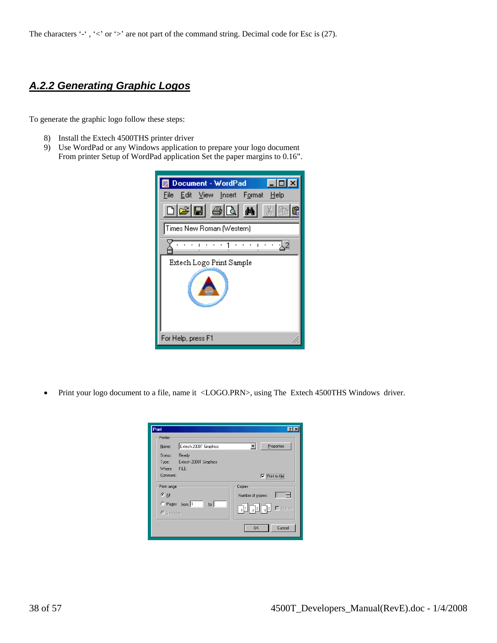# <span id="page-37-0"></span>*A.2.2 Generating Graphic Logos*

To generate the graphic logo follow these steps:

- 8) Install the Extech 4500THS printer driver
- 9) Use WordPad or any Windows application to prepare your logo document From printer Setup of WordPad application Set the paper margins to 0.16".

| Document - WordPad                                    |
|-------------------------------------------------------|
| Edit View Insert Format Help<br>File                  |
| $\log$ $\approx$ $\approx$ $\approx$ $\approx$<br>3 唯 |
| Times New Roman (Western)                             |
|                                                       |
| Extech Logo Print Sample                              |
| For Help, press F1                                    |

• Print your logo document to a file, name it <LOGO.PRN>, using The Extech 4500THS Windows driver.

| Print              |                                      | 7                                   |
|--------------------|--------------------------------------|-------------------------------------|
| <b>Printer</b>     |                                      |                                     |
| Name:              | Extech 2000T Graphics                | Properties                          |
| Status:            | Ready<br>Type: Extech 2000T Graphics |                                     |
| Where:<br>Comment: | FILE:                                | $\nabla$ Print to file              |
| Print range        |                                      | Copies                              |
| $G$ All            |                                      | Number of copies:                   |
| C Selection        | C Pages from: 1<br>$ 100\rangle$     | <u> Fultal Sa</u><br>$\Box$ Collate |
|                    |                                      | Cancel<br>0K                        |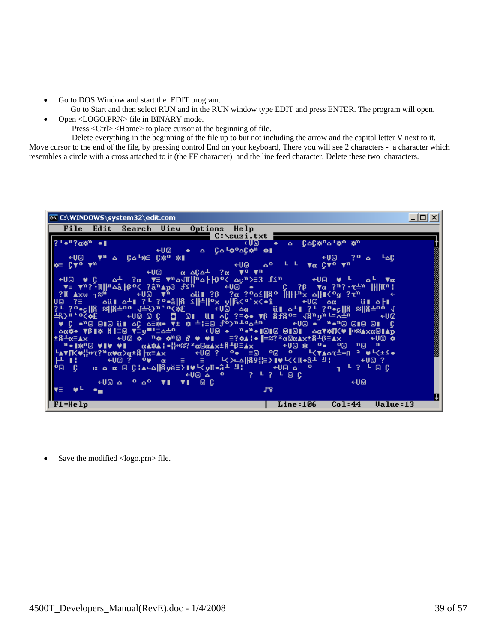- Go to DOS Window and start the EDIT program.
	- Go to Start and then select RUN and in the RUN window type EDIT and press ENTER. The program will open.
- Open <LOGO.PRN> file in BINARY mode.
	- Press <Ctrl> <Home> to place cursor at the beginning of file.

 Delete everything in the beginning of the file up to but not including the arrow and the capital letter V next to it. Move cursor to the end of the file, by pressing control End on your keyboard, There you will see 2 characters - a character which resembles a circle with a cross attached to it (the FF character) and the line feed character. Delete these two characters.

| <b>EX C:\WINDOWS\system32\edit.com</b>                                                                                                                                                                                                                                                                                                                           | $\Box$ o $\Box$ |
|------------------------------------------------------------------------------------------------------------------------------------------------------------------------------------------------------------------------------------------------------------------------------------------------------------------------------------------------------------------|-----------------|
| File Edit Search View Options Help                                                                                                                                                                                                                                                                                                                               |                 |
| C:\suzi.txt<br>←U© ● △ C△C※º△└☆º ☆™                                                                                                                                                                                                                                                                                                                              |                 |
| $\begin{bmatrix} \frac{1}{2} & \frac{1}{2} & \frac{1}{2} & \frac{1}{2} & \frac{1}{2} & \frac{1}{2} & \frac{1}{2} \\ \frac{1}{2} & \frac{1}{2} & \frac{1}{2} & \frac{1}{2} & \frac{1}{2} & \frac{1}{2} \\ \frac{1}{2} & \frac{1}{2} & \frac{1}{2} & \frac{1}{2} & \frac{1}{2} & \frac{1}{2} \end{bmatrix}$<br>←U© ⊷<br>Δ CΔ-¥X <sup>0</sup> ΔCA <sup>γn</sup> ASI |                 |
| +U© T <sup>h</sup> o Colse Cst <sup>o</sup> stil<br>$\leftarrow$ U@ ?º $\Delta$ LAC                                                                                                                                                                                                                                                                              |                 |
|                                                                                                                                                                                                                                                                                                                                                                  |                 |
|                                                                                                                                                                                                                                                                                                                                                                  |                 |
|                                                                                                                                                                                                                                                                                                                                                                  |                 |
|                                                                                                                                                                                                                                                                                                                                                                  |                 |
|                                                                                                                                                                                                                                                                                                                                                                  |                 |
|                                                                                                                                                                                                                                                                                                                                                                  |                 |
|                                                                                                                                                                                                                                                                                                                                                                  |                 |
|                                                                                                                                                                                                                                                                                                                                                                  |                 |
|                                                                                                                                                                                                                                                                                                                                                                  |                 |
|                                                                                                                                                                                                                                                                                                                                                                  |                 |
|                                                                                                                                                                                                                                                                                                                                                                  |                 |
|                                                                                                                                                                                                                                                                                                                                                                  |                 |
| $\mathtt{Line:106}$<br>$F1 = He1p$<br>Co1:44<br>Ualue:13                                                                                                                                                                                                                                                                                                         |                 |

Save the modified <logo.prn> file.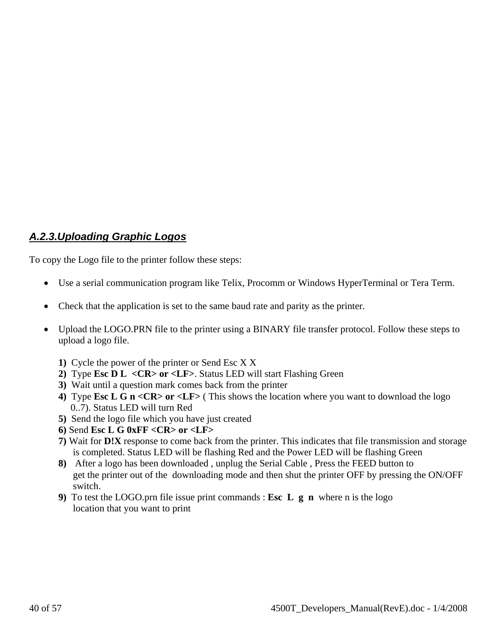# <span id="page-39-0"></span>*A.2.3.Uploading Graphic Logos*

To copy the Logo file to the printer follow these steps:

- Use a serial communication program like Telix, Procomm or Windows HyperTerminal or Tera Term.
- Check that the application is set to the same baud rate and parity as the printer.
- Upload the LOGO.PRN file to the printer using a BINARY file transfer protocol. Follow these steps to upload a logo file.
	- **1)** Cycle the power of the printer or Send Esc X X
	- **2)** Type **Esc D L <CR> or <LF>**. Status LED will start Flashing Green
	- **3)** Wait until a question mark comes back from the printer
	- **4)** Type **Esc L G n <CR> or <LF>** ( This shows the location where you want to download the logo 0..7). Status LED will turn Red
	- **5)** Send the logo file which you have just created
	- **6)** Send **Esc L G 0xFF <CR> or <LF>**
	- **7)** Wait for **D!X** response to come back from the printer. This indicates that file transmission and storage is completed. Status LED will be flashing Red and the Power LED will be flashing Green
	- **8)** After a logo has been downloaded , unplug the Serial Cable , Press the FEED button to get the printer out of the downloading mode and then shut the printer OFF by pressing the ON/OFF switch.
	- **9)** To test the LOGO.prn file issue print commands : **Esc L g n** where n is the logo location that you want to print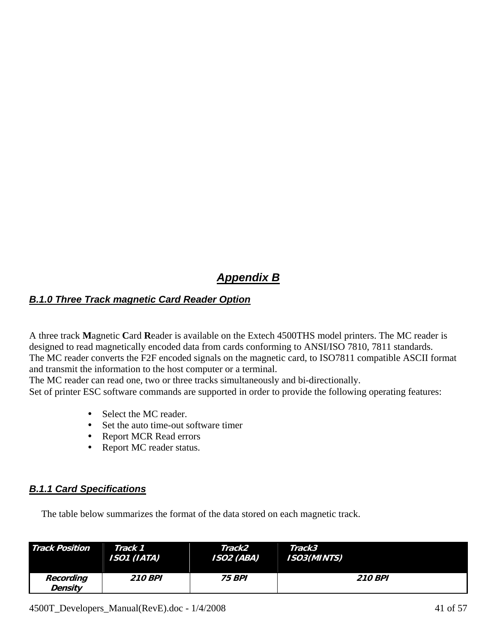# *Appendix B*

# <span id="page-40-0"></span>*B.1.0 Three Track magnetic Card Reader Option*

A three track **M**agnetic **C**ard **R**eader is available on the Extech 4500THS model printers. The MC reader is designed to read magnetically encoded data from cards conforming to ANSI/ISO 7810, 7811 standards. The MC reader converts the F2F encoded signals on the magnetic card, to ISO7811 compatible ASCII format and transmit the information to the host computer or a terminal.

The MC reader can read one, two or three tracks simultaneously and bi-directionally.

Set of printer ESC software commands are supported in order to provide the following operating features:

- Select the MC reader.
- Set the auto time-out software timer
- Report MCR Read errors
- Report MC reader status.

# *B.1.1 Card Specifications*

The table below summarizes the format of the data stored on each magnetic track.

| <b>Track Position</b>       | Track 1        | Track2               | Track3             |
|-----------------------------|----------------|----------------------|--------------------|
|                             | ISO1 (IATA)    | <b>ISO2 (ABA)</b>    | <b>ISO3(MINTS)</b> |
| Recording<br><b>Density</b> | <b>210 BPI</b> | <i><b>75 BPI</b></i> | <b>210 BPI</b>     |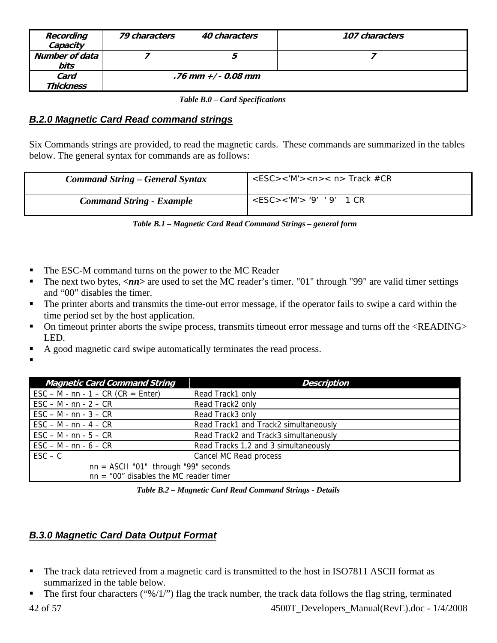<span id="page-41-0"></span>

| Recording<br>Capacity    | 79 characters | 40 characters        | 107 characters |
|--------------------------|---------------|----------------------|----------------|
| Number of data<br>bits   |               |                      |                |
| Card<br><b>Thickness</b> |               | .76 mm $+/-$ 0.08 mm |                |

 *Table B.0 – Card Specifications* 

# *B.2.0 Magnetic Card Read command strings*

Six Commands strings are provided, to read the magnetic cards. These commands are summarized in the tables below. The general syntax for commands are as follows:

| <b>Command String – General Syntax</b> | $<$ ESC><'M'> <n>&lt; n&gt; Track #CR</n> |
|----------------------------------------|-------------------------------------------|
| <b>Command String - Example</b>        | $<$ ESC><'M'> '9' '9' 1 CR                |

|  |  | Table B.1 - Magnetic Card Read Command Strings - general form |
|--|--|---------------------------------------------------------------|
|--|--|---------------------------------------------------------------|

- The ESC-M command turns on the power to the MC Reader
- The next two bytes,  $\langle nn \rangle$  are used to set the MC reader's timer. "01" through "99" are valid timer settings and "00" disables the timer.
- The printer aborts and transmits the time-out error message, if the operator fails to swipe a card within the time period set by the host application.
- On timeout printer aborts the swipe process, transmits timeout error message and turns off the <READING> LED.
- $A$  good magnetic card swipe automatically terminates the read process.
- .

| A good magnetic card swipe automatically terminates the read process. |  |  |
|-----------------------------------------------------------------------|--|--|
|                                                                       |  |  |

| <b>Magnetic Card Command String</b>                                 | Description                           |  |  |
|---------------------------------------------------------------------|---------------------------------------|--|--|
| $\text{ESC} - \text{M} - \text{nn} - 1 - \text{CR}$ (CR = Enter)    | Read Track1 only                      |  |  |
| $\textsf{ESC} - \textsf{M} \cdot \textsf{nn} \cdot 2 - \textsf{CR}$ | Read Track2 only                      |  |  |
| $\textsf{ESC} - \textsf{M} - \textsf{nn} - 3 - \textsf{CR}$         | Read Track3 only                      |  |  |
| $\text{ESC} - \text{M} - \text{nn} - 4 - \text{CR}$                 | Read Track1 and Track2 simultaneously |  |  |
| $\textsf{ESC} - \textsf{M} \cdot \textsf{nn} \cdot 5 - \textsf{CR}$ | Read Track2 and Track3 simultaneously |  |  |
| $\textsf{ESC} - \textsf{M} - \textsf{nn} - 6 - \textsf{CR}$         | Read Tracks 1,2 and 3 simultaneously  |  |  |
| $\mathsf{ESC} - \mathsf{C}$                                         | Cancel MC Read process                |  |  |
| $nn = ASCII "01"$ through "99" seconds                              |                                       |  |  |
| $nn = "00"$ disables the MC reader timer                            |                                       |  |  |

 *Table B.2 – Magnetic Card Read Command Strings - Details* 

# *B.3.0 Magnetic Card Data Output Format*

- The track data retrieved from a magnetic card is transmitted to the host in ISO7811 ASCII format as summarized in the table below.
- 42 of 57 4500T\_Developers\_Manual(RevE).doc 1/4/2008 The first four characters (" $\frac{1}{2}$ ") flag the track number, the track data follows the flag string, terminated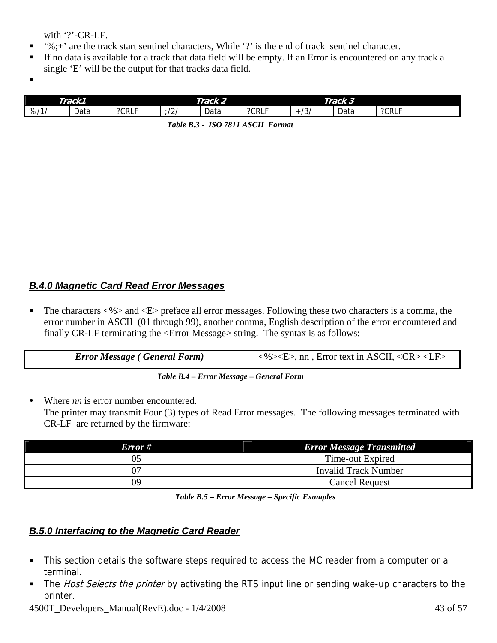with '?'-CR-LF.

- <span id="page-42-0"></span> $\bullet$  '%;+' are the track start sentinel characters, While '?' is the end of track sentinel character.
- If no data is available for a track that data field will be empty. If an Error is encountered on any track a single 'E' will be the output for that tracks data field.
- .

|     | Track 2<br>Track1                |       | Track 3                |      |       |               |      |      |
|-----|----------------------------------|-------|------------------------|------|-------|---------------|------|------|
| %11 | $\overline{\phantom{a}}$<br>Data | ?CRLF | $\sqrt{ }$<br><u>.</u> | Data | ?CRLF | $\sim$<br>ر ت | Data | ?CRL |

 *Table B.3 - ISO 7811 ASCII Format* 

# *B.4.0 Magnetic Card Read Error Messages*

The characters  $\langle\% \rangle$  and  $\langle E \rangle$  preface all error messages. Following these two characters is a comma, the error number in ASCII (01 through 99), another comma, English description of the error encountered and finally CR-LF terminating the <Error Message> string. The syntax is as follows:

| <b>Error Message (General Form)</b> |  |
|-------------------------------------|--|
|                                     |  |

 *Table B.4 – Error Message – General Form* 

Where *nn* is error number encountered. The printer may transmit Four (3) types of Read Error messages. The following messages terminated with CR-LF are returned by the firmware:

| Error# | <b>Error Message Transmitted</b> |
|--------|----------------------------------|
| 05     | Time-out Expired                 |
| 07     | Invalid Track Number             |
| 09     | <b>Cancel Request</b>            |

 *Table B.5 – Error Message – Specific Examples* 

# *B.5.0 Interfacing to the Magnetic Card Reader*

- This section details the software steps required to access the MC reader from a computer or a terminal.
- The *Host Selects the printer* by activating the RTS input line or sending wake-up characters to the printer.

4500T Developers Manual(RevE).doc - 1/4/2008 43 of 57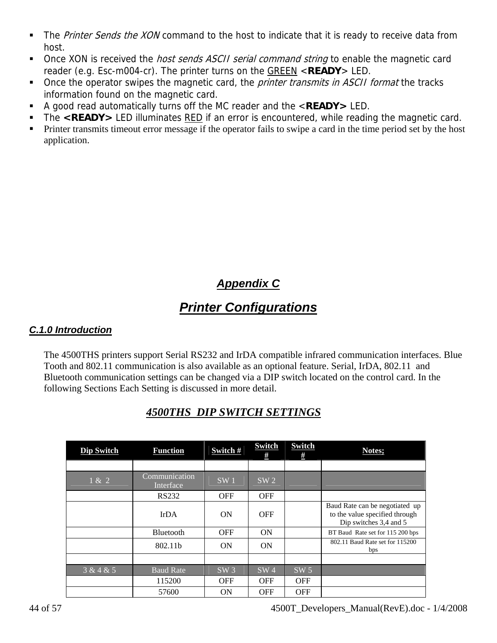- <span id="page-43-0"></span>The Printer Sends the XON command to the host to indicate that it is ready to receive data from host.
- Once XON is received the *host sends ASCII serial command string* to enable the magnetic card reader (e.g. Esc-m004-cr). The printer turns on the GREEN <**READY**> LED.
- Once the operator swipes the magnetic card, the *printer transmits in ASCII format* the tracks information found on the magnetic card.
- A good read automatically turns off the MC reader and the <**READY>** LED.
- The **<READY>** LED illuminates RED if an error is encountered, while reading the magnetic card.
- **Printer transmits timeout error message if the operator fails to swipe a card in the time period set by the host** application.

# *Appendix C*

# *Printer Configurations*

# *C.1.0 Introduction*

The 4500THS printers support Serial RS232 and IrDA compatible infrared communication interfaces. Blue Tooth and 802.11 communication is also available as an optional feature. Serial, IrDA, 802.11 and Bluetooth communication settings can be changed via a DIP switch located on the control card. In the following Sections Each Setting is discussed in more detail.

| Dip Switch | <b>Function</b>            | Switch#         | <b>Switch</b><br># | <b>Switch</b><br># | Notes;                                                                                     |
|------------|----------------------------|-----------------|--------------------|--------------------|--------------------------------------------------------------------------------------------|
|            |                            |                 |                    |                    |                                                                                            |
| 1 & 2      | Communication<br>Interface | SW <sub>1</sub> | SW <sub>2</sub>    |                    |                                                                                            |
|            | <b>RS232</b>               | <b>OFF</b>      | <b>OFF</b>         |                    |                                                                                            |
|            | <b>IrDA</b>                | <b>ON</b>       | <b>OFF</b>         |                    | Baud Rate can be negotiated up<br>to the value specified through<br>Dip switches 3,4 and 5 |
|            | Bluetooth                  | <b>OFF</b>      | ON                 |                    | BT Baud Rate set for 115 200 bps                                                           |
|            | 802.11b                    | ON              | ON                 |                    | 802.11 Baud Rate set for 115200<br>bps                                                     |
|            |                            |                 |                    |                    |                                                                                            |
| 3 & 4 & 5  | <b>Baud Rate</b>           | SW <sub>3</sub> | SW <sub>4</sub>    | SW <sub>5</sub>    |                                                                                            |
|            | 115200                     | <b>OFF</b>      | <b>OFF</b>         | <b>OFF</b>         |                                                                                            |
|            | 57600                      | <b>ON</b>       | <b>OFF</b>         | <b>OFF</b>         |                                                                                            |

# *4500THS DIP SWITCH SETTINGS*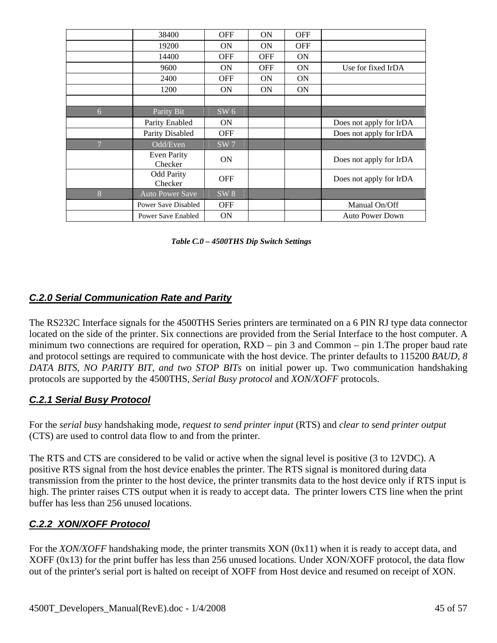<span id="page-44-0"></span>

|                | 38400                        | <b>OFF</b>      | ON         | <b>OFF</b> |                         |
|----------------|------------------------------|-----------------|------------|------------|-------------------------|
|                | 19200                        | <b>ON</b>       | <b>ON</b>  | <b>OFF</b> |                         |
|                | 14400                        | <b>OFF</b>      | <b>OFF</b> | <b>ON</b>  |                         |
|                | 9600                         | <b>ON</b>       | <b>OFF</b> | <b>ON</b>  | Use for fixed IrDA      |
|                | 2400                         | <b>OFF</b>      | ON         | <b>ON</b>  |                         |
|                | 1200                         | <b>ON</b>       | <b>ON</b>  | <b>ON</b>  |                         |
|                |                              |                 |            |            |                         |
| 6              | Parity Bit                   | SW 6            |            |            |                         |
|                | Parity Enabled               | <b>ON</b>       |            |            | Does not apply for IrDA |
|                | Parity Disabled              | <b>OFF</b>      |            |            | Does not apply for IrDA |
| $\overline{7}$ | Odd/Even                     | SW <sub>7</sub> |            |            |                         |
|                | Even Parity<br>Checker       | <b>ON</b>       |            |            | Does not apply for IrDA |
|                | <b>Odd Parity</b><br>Checker | <b>OFF</b>      |            |            | Does not apply for IrDA |
| 8              | <b>Auto Power Save</b>       | SW <sub>8</sub> |            |            |                         |
|                | Power Save Disabled          | <b>OFF</b>      |            |            | Manual On/Off           |
|                | Power Save Enabled           | <b>ON</b>       |            |            | <b>Auto Power Down</b>  |

 *Table C.0 – 4500THS Dip Switch Settings* 

# *C.2.0 Serial Communication Rate and Parity*

The RS232C Interface signals for the 4500THS Series printers are terminated on a 6 PIN RJ type data connector located on the side of the printer. Six connections are provided from the Serial Interface to the host computer. A minimum two connections are required for operation, RXD – pin 3 and Common – pin 1. The proper baud rate and protocol settings are required to communicate with the host device. The printer defaults to 115200 *BAUD, 8 DATA BITS, NO PARITY BIT, and two STOP BITs* on initial power up. Two communication handshaking protocols are supported by the 4500THS, *Serial Busy protocol* and *XON/XOFF* protocols.

# *C.2.1 Serial Busy Protocol*

For the *serial busy* handshaking mode, *request to send printer input* (RTS) and *clear to send printer output* (CTS) are used to control data flow to and from the printer.

The RTS and CTS are considered to be valid or active when the signal level is positive (3 to 12VDC). A positive RTS signal from the host device enables the printer. The RTS signal is monitored during data transmission from the printer to the host device, the printer transmits data to the host device only if RTS input is high. The printer raises CTS output when it is ready to accept data. The printer lowers CTS line when the print buffer has less than 256 unused locations.

# *C.2.2 XON/XOFF Protocol*

For the *XON/XOFF* handshaking mode, the printer transmits XON (0x11) when it is ready to accept data, and XOFF (0x13) for the print buffer has less than 256 unused locations. Under XON/XOFF protocol, the data flow out of the printer's serial port is halted on receipt of XOFF from Host device and resumed on receipt of XON.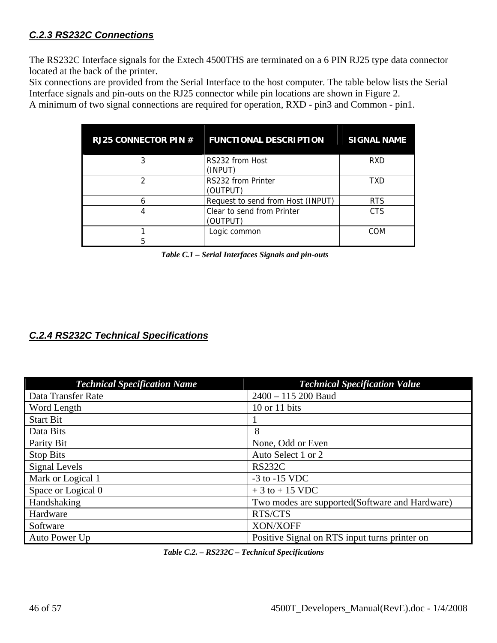# <span id="page-45-0"></span>*C.2.3 RS232C Connections*

The RS232C Interface signals for the Extech 4500THS are terminated on a 6 PIN RJ25 type data connector located at the back of the printer.

Six connections are provided from the Serial Interface to the host computer. The table below lists the Serial Interface signals and pin-outs on the RJ25 connector while pin locations are shown in Figure 2.

A minimum of two signal connections are required for operation, RXD - pin3 and Common - pin1.

| <b>RJ25 CONNECTOR PIN #</b> | <b>FUNCTIONAL DESCRIPTION</b>          | <b>SIGNAL NAME</b> |
|-----------------------------|----------------------------------------|--------------------|
|                             | RS232 from Host<br>(INPUT)             | <b>RXD</b>         |
|                             | RS232 from Printer<br>(OUTPUT)         | TXD                |
|                             | Request to send from Host (INPUT)      | <b>RTS</b>         |
|                             | Clear to send from Printer<br>(OUTPUT) | CTS.               |
|                             | Logic common                           | COM                |
|                             |                                        |                    |

 *Table C.1 – Serial Interfaces Signals and pin-outs* 

## *C.2.4 RS232C Technical Specifications*

| <b>Technical Specification Name</b> | <b>Technical Specification Value</b>           |
|-------------------------------------|------------------------------------------------|
| Data Transfer Rate                  | $2400 - 115200$ Baud                           |
| Word Length                         | 10 or 11 bits                                  |
| <b>Start Bit</b>                    |                                                |
| Data Bits                           | 8                                              |
| Parity Bit                          | None, Odd or Even                              |
| Stop Bits                           | Auto Select 1 or 2                             |
| Signal Levels                       | <b>RS232C</b>                                  |
| Mark or Logical 1                   | $-3$ to $-15$ VDC                              |
| Space or Logical 0                  | $+3$ to $+15$ VDC                              |
| Handshaking                         | Two modes are supported(Software and Hardware) |
| Hardware                            | RTS/CTS                                        |
| Software                            | XON/XOFF                                       |
| Auto Power Up                       | Positive Signal on RTS input turns printer on  |

 *Table C.2. – RS232C – Technical Specifications*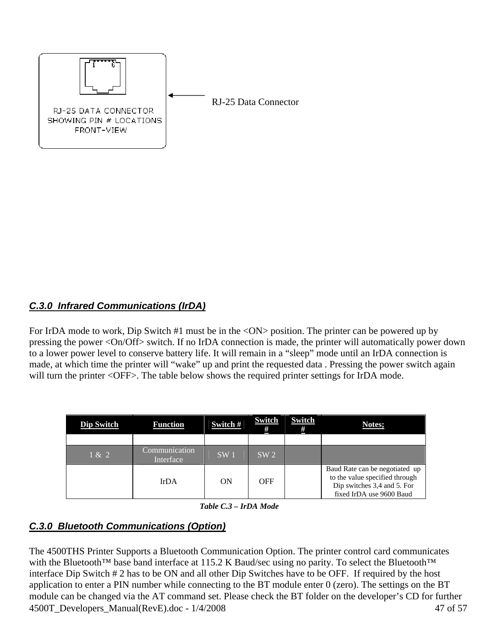<span id="page-46-0"></span>

# *C.3.0 Infrared Communications (IrDA)*

For IrDA mode to work, Dip Switch #1 must be in the <ON> position. The printer can be powered up by pressing the power <On/Off> switch. If no IrDA connection is made, the printer will automatically power down to a lower power level to conserve battery life. It will remain in a "sleep" mode until an IrDA connection is made, at which time the printer will "wake" up and print the requested data . Pressing the power switch again will turn the printer <OFF>. The table below shows the required printer settings for IrDA mode.

| Dip Switch | <b>Function</b>            | Switch # | <b>Switch</b><br># | <b>Switch</b><br># | <b>Notes:</b>                                                                                                               |
|------------|----------------------------|----------|--------------------|--------------------|-----------------------------------------------------------------------------------------------------------------------------|
|            |                            |          |                    |                    |                                                                                                                             |
| 1 & 2      | Communication<br>Interface | SW1      | SW <sub>2</sub>    |                    |                                                                                                                             |
|            | <b>IrDA</b>                | ON       | OFF                |                    | Baud Rate can be negotiated up<br>to the value specified through<br>Dip switches 3,4 and 5. For<br>fixed IrDA use 9600 Baud |

 *Table C.3 – IrDA Mode* 

# *C.3.0 Bluetooth Communications (Option)*

4500T\_Developers\_Manual(RevE).doc - 1/4/2008 47 of 57 The 4500THS Printer Supports a Bluetooth Communication Option. The printer control card communicates with the Bluetooth™ base band interface at 115.2 K Baud/sec using no parity. To select the Bluetooth™ interface Dip Switch # 2 has to be ON and all other Dip Switches have to be OFF. If required by the host application to enter a PIN number while connecting to the BT module enter 0 (zero). The settings on the BT module can be changed via the AT command set. Please check the BT folder on the developer's CD for further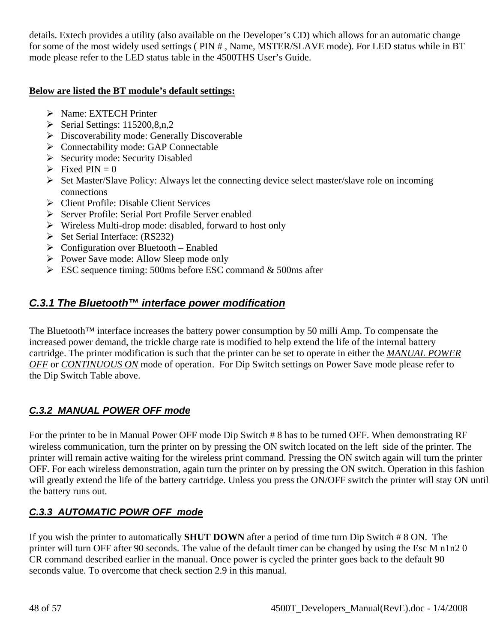<span id="page-47-0"></span>details. Extech provides a utility (also available on the Developer's CD) which allows for an automatic change for some of the most widely used settings ( PIN # , Name, MSTER/SLAVE mode). For LED status while in BT mode please refer to the LED status table in the 4500THS User's Guide.

## **Below are listed the BT module's default settings:**

- ¾ Name: EXTECH Printer
- $\triangleright$  Serial Settings: 115200,8,n,2
- $\triangleright$  Discoverability mode: Generally Discoverable
- ¾ Connectability mode: GAP Connectable
- $\triangleright$  Security mode: Security Disabled
- $\triangleright$  Fixed PIN = 0
- $\triangleright$  Set Master/Slave Policy: Always let the connecting device select master/slave role on incoming connections
- ¾ Client Profile: Disable Client Services
- ¾ Server Profile: Serial Port Profile Server enabled
- $\triangleright$  Wireless Multi-drop mode: disabled, forward to host only
- $\triangleright$  Set Serial Interface: (RS232)
- $\triangleright$  Configuration over Bluetooth Enabled
- ¾ Power Save mode: Allow Sleep mode only
- $\triangleright$  ESC sequence timing: 500ms before ESC command & 500ms after

# *C.3.1 The Bluetooth™ interface power modification*

The Bluetooth<sup>™</sup> interface increases the battery power consumption by 50 milli Amp. To compensate the increased power demand, the trickle charge rate is modified to help extend the life of the internal battery cartridge. The printer modification is such that the printer can be set to operate in either the *MANUAL POWER OFF* or *CONTINUOUS ON* mode of operation. For Dip Switch settings on Power Save mode please refer to the Dip Switch Table above.

# *C.3.2 MANUAL POWER OFF mode*

For the printer to be in Manual Power OFF mode Dip Switch # 8 has to be turned OFF. When demonstrating RF wireless communication, turn the printer on by pressing the ON switch located on the left side of the printer. The printer will remain active waiting for the wireless print command. Pressing the ON switch again will turn the printer OFF. For each wireless demonstration, again turn the printer on by pressing the ON switch. Operation in this fashion will greatly extend the life of the battery cartridge. Unless you press the ON/OFF switch the printer will stay ON until the battery runs out.

# *C.3.3 AUTOMATIC POWR OFF mode*

If you wish the printer to automatically **SHUT DOWN** after a period of time turn Dip Switch # 8 ON. The printer will turn OFF after 90 seconds. The value of the default timer can be changed by using the Esc M n1n2 0 CR command described earlier in the manual. Once power is cycled the printer goes back to the default 90 seconds value. To overcome that check section 2.9 in this manual.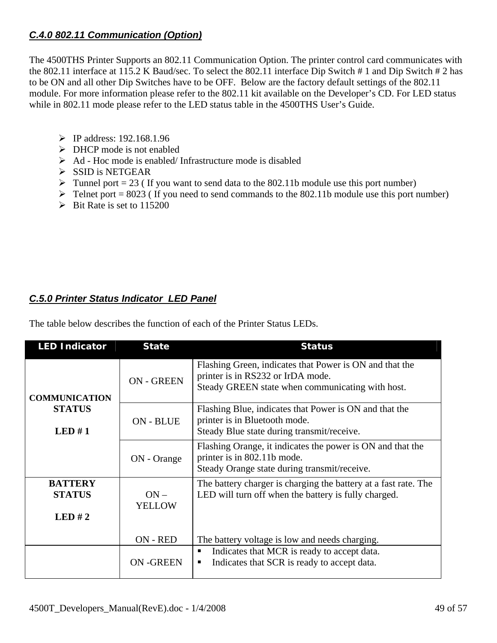# <span id="page-48-0"></span>*C.4.0 802.11 Communication (Option)*

The 4500THS Printer Supports an 802.11 Communication Option. The printer control card communicates with the 802.11 interface at 115.2 K Baud/sec. To select the 802.11 interface Dip Switch # 1 and Dip Switch # 2 has to be ON and all other Dip Switches have to be OFF. Below are the factory default settings of the 802.11 module. For more information please refer to the 802.11 kit available on the Developer's CD. For LED status while in 802.11 mode please refer to the LED status table in the 4500THS User's Guide.

- ¾ IP address: 192.168.1.96
- $\triangleright$  DHCP mode is not enabled
- $\triangleright$  Ad Hoc mode is enabled/ Infrastructure mode is disabled
- $\triangleright$  SSID is NETGEAR
- $\triangleright$  Tunnel port = 23 (If you want to send data to the 802.11b module use this port number)
- $\triangleright$  Telnet port = 8023 (If you need to send commands to the 802.11b module use this port number)
- $\triangleright$  Bit Rate is set to 115200

# *C.5.0 Printer Status Indicator LED Panel*

The table below describes the function of each of the Printer Status LEDs.

| <b>LED Indicator</b>                     | <b>State</b>            | <b>Status</b>                                                                                                                                    |
|------------------------------------------|-------------------------|--------------------------------------------------------------------------------------------------------------------------------------------------|
| <b>COMMUNICATION</b>                     | <b>ON - GREEN</b>       | Flashing Green, indicates that Power is ON and that the<br>printer is in RS232 or IrDA mode.<br>Steady GREEN state when communicating with host. |
| <b>STATUS</b><br>LED#1                   | ON - BLUE               | Flashing Blue, indicates that Power is ON and that the<br>printer is in Bluetooth mode.<br>Steady Blue state during transmit/receive.            |
|                                          | ON - Orange             | Flashing Orange, it indicates the power is ON and that the<br>printer is in 802.11b mode.<br>Steady Orange state during transmit/receive.        |
| <b>BATTERY</b><br><b>STATUS</b><br>LED#2 | $ON -$<br><b>YELLOW</b> | The battery charger is charging the battery at a fast rate. The<br>LED will turn off when the battery is fully charged.                          |
|                                          | ON - RED                | The battery voltage is low and needs charging.                                                                                                   |
|                                          | <b>ON-GREEN</b>         | Indicates that MCR is ready to accept data.<br>٠<br>Indicates that SCR is ready to accept data.<br>п                                             |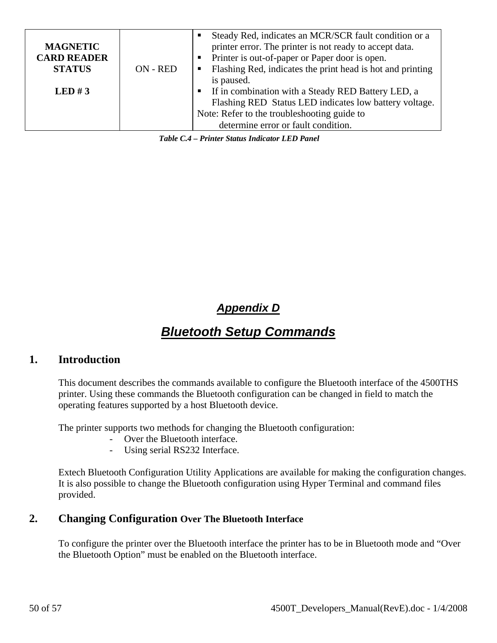<span id="page-49-0"></span>

|                    |          | Steady Red, indicates an MCR/SCR fault condition or a<br>п   |
|--------------------|----------|--------------------------------------------------------------|
| <b>MAGNETIC</b>    |          | printer error. The printer is not ready to accept data.      |
| <b>CARD READER</b> |          | • Printer is out-of-paper or Paper door is open.             |
| <b>STATUS</b>      | ON - RED | • Flashing Red, indicates the print head is hot and printing |
|                    |          | is paused.                                                   |
| LED#3              |          | • If in combination with a Steady RED Battery LED, a         |
|                    |          | Flashing RED Status LED indicates low battery voltage.       |
|                    |          | Note: Refer to the troubleshooting guide to                  |
|                    |          | determine error or fault condition.                          |

 *Table C.4 – Printer Status Indicator LED Panel* 

# *Appendix D*

# *Bluetooth Setup Commands*

## **1. Introduction**

This document describes the commands available to configure the Bluetooth interface of the 4500THS printer. Using these commands the Bluetooth configuration can be changed in field to match the operating features supported by a host Bluetooth device.

The printer supports two methods for changing the Bluetooth configuration:

- Over the Bluetooth interface.
- Using serial RS232 Interface.

Extech Bluetooth Configuration Utility Applications are available for making the configuration changes. It is also possible to change the Bluetooth configuration using Hyper Terminal and command files provided.

# **2. Changing Configuration Over The Bluetooth Interface**

To configure the printer over the Bluetooth interface the printer has to be in Bluetooth mode and "Over the Bluetooth Option" must be enabled on the Bluetooth interface.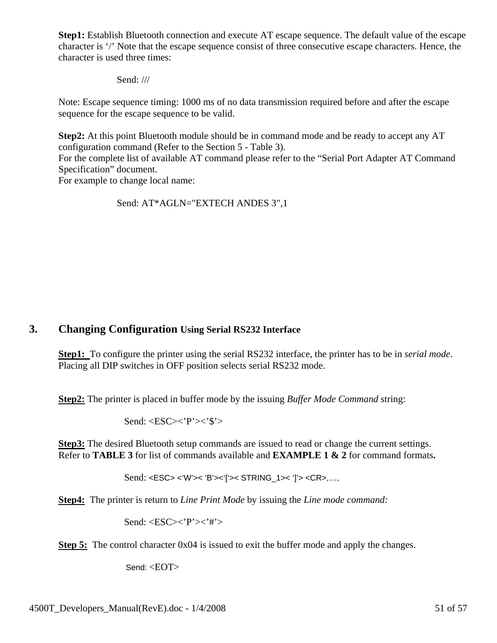**Step1:** Establish Bluetooth connection and execute AT escape sequence. The default value of the escape character is '/' Note that the escape sequence consist of three consecutive escape characters. Hence, the character is used three times:

Send: ///

Note: Escape sequence timing: 1000 ms of no data transmission required before and after the escape sequence for the escape sequence to be valid.

**Step2:** At this point Bluetooth module should be in command mode and be ready to accept any AT configuration command (Refer to the Section 5 - Table 3).

For the complete list of available AT command please refer to the "Serial Port Adapter AT Command Specification" document.

For example to change local name:

Send: AT\*AGLN="EXTECH ANDES 3",1

# **3. Changing Configuration Using Serial RS232 Interface**

**Step1:** To configure the printer using the serial RS232 interface, the printer has to be in *serial mode*. Placing all DIP switches in OFF position selects serial RS232 mode.

**Step2:** The printer is placed in buffer mode by the issuing *Buffer Mode Command* string:

Send: <ESC><'P'><'\$'>

**Step3:** The desired Bluetooth setup commands are issued to read or change the current settings. Refer to **TABLE 3** for list of commands available and **EXAMPLE 1 & 2** for command formats**.** 

Send: <ESC> <'W'>< 'B'><'['>< STRING\_1>< ']'> <CR>,…,

**Step4:** The printer is return to *Line Print Mode* by issuing the *Line mode command:* 

Send: <ESC><'P'><'#'>

**Step 5:** The control character 0x04 is issued to exit the buffer mode and apply the changes.

Send: <EOT>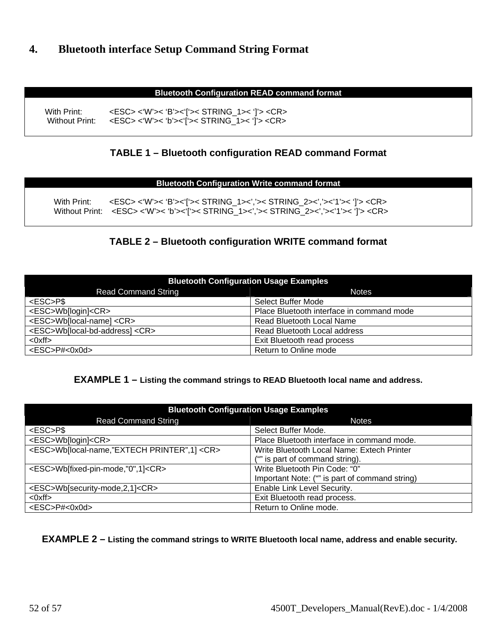# **4. Bluetooth interface Setup Command String Format**

### **Bluetooth Configuration READ command format**

With Print: <br>
With Print: <br>
Without Print: <br>
CRSC> <'W'>< 'b'><'I'>< STRING 1>< 'I'> <CR> <ESC> <'W'>< 'b'><'['>< STRING\_1>< ']'> <CR>

## **TABLE 1 – Bluetooth configuration READ command Format**

### **Bluetooth Configuration Write command format**

With Print: <ESC> <'W'>< 'B'><'['>< STRING\_1><','>< STRING\_2><','><'1'>< ']'> <CR> Without Print: <ESC><'W'>< 'b'><'['>< STRING\_1><','>< STRING\_2><','><'1'>< ']'><CR>

# **TABLE 2 – Bluetooth configuration WRITE command format**

| <b>Bluetooth Configuration Usage Examples</b> |                                           |  |  |
|-----------------------------------------------|-------------------------------------------|--|--|
| <b>Read Command String</b>                    | <b>Notes</b>                              |  |  |
| <esc>P\$</esc>                                | Select Buffer Mode                        |  |  |
| <esc>Wb[login]<cr></cr></esc>                 | Place Bluetooth interface in command mode |  |  |
| <esc>Wb[local-name] <cr></cr></esc>           | Read Bluetooth Local Name                 |  |  |
| <esc>Wb[local-bd-address] <cr></cr></esc>     | Read Bluetooth Local address              |  |  |
| $<$ Oxff $>$                                  | Exit Bluetooth read process               |  |  |
| <esc>P#&lt;0x0d&gt;</esc>                     | Return to Online mode                     |  |  |

### **EXAMPLE 1 – Listing the command strings to READ Bluetooth local name and address.**

| <b>Bluetooth Configuration Usage Examples</b>          |                                                |  |  |
|--------------------------------------------------------|------------------------------------------------|--|--|
| <b>Read Command String</b>                             | <b>Notes</b>                                   |  |  |
| <esc>P\$</esc>                                         | Select Buffer Mode.                            |  |  |
| <esc>Wb[login]<cr></cr></esc>                          | Place Bluetooth interface in command mode.     |  |  |
| <esc>Wb[local-name,"EXTECH PRINTER",1] <cr></cr></esc> | Write Bluetooth Local Name: Extech Printer     |  |  |
|                                                        | ("" is part of command string).                |  |  |
| <esc>Wb[fixed-pin-mode,"0",1]<cr></cr></esc>           | Write Bluetooth Pin Code: "0"                  |  |  |
|                                                        | Important Note: ("" is part of command string) |  |  |
| <esc>Wb[security-mode,2,1]<cr></cr></esc>              | Enable Link Level Security.                    |  |  |
| $<$ Oxff $>$                                           | Exit Bluetooth read process.                   |  |  |
| <esc>P#&lt;0x0d&gt;</esc>                              | Return to Online mode.                         |  |  |

### **EXAMPLE 2 – Listing the command strings to WRITE Bluetooth local name, address and enable security.**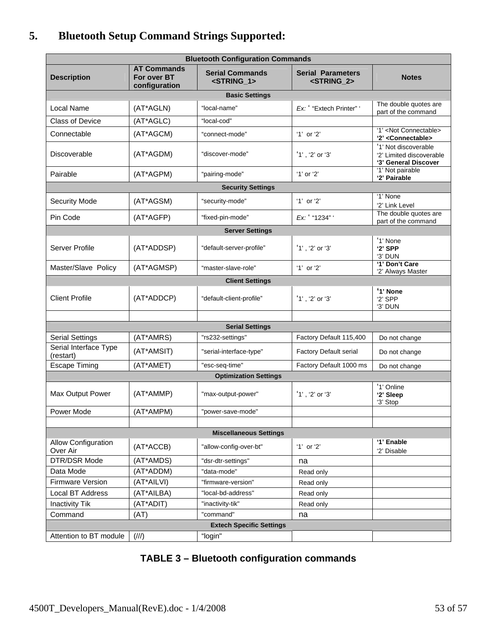# **5. Bluetooth Setup Command Strings Supported:**

| <b>Bluetooth Configuration Commands</b> |                                                    |                                                 |                                                   |                                                                          |
|-----------------------------------------|----------------------------------------------------|-------------------------------------------------|---------------------------------------------------|--------------------------------------------------------------------------|
| <b>Description</b>                      | <b>AT Commands</b><br>For over BT<br>configuration | <b>Serial Commands</b><br><string_1></string_1> | <b>Serial Parameters</b><br><string_2></string_2> | <b>Notes</b>                                                             |
|                                         |                                                    | <b>Basic Settings</b>                           |                                                   |                                                                          |
| Local Name                              | (AT*AGLN)                                          | "local-name"                                    | Ex: "Extech Printer" '                            | The double quotes are<br>part of the command                             |
| <b>Class of Device</b>                  | (AT*AGLC)                                          | "local-cod"                                     |                                                   |                                                                          |
| Connectable                             | (AT*AGCM)                                          | "connect-mode"                                  | '1' or '2'                                        | '1' <not connectable=""><br/>'2' <connectable></connectable></not>       |
| Discoverable                            | (AT*AGDM)                                          | "discover-mode"                                 | '1', '2' or '3'                                   | '1' Not discoverable<br>'2' Limited discoverable<br>'3' General Discover |
| Pairable                                | (AT*AGPM)                                          | "pairing-mode"                                  | '1' or '2'                                        | '1' Not pairable<br>'2' Pairable                                         |
|                                         |                                                    | <b>Security Settings</b>                        |                                                   |                                                                          |
| <b>Security Mode</b>                    | (AT*AGSM)                                          | "security-mode"                                 | '1' or '2'                                        | '1' None                                                                 |
|                                         |                                                    |                                                 |                                                   | '2' Link Level<br>The double quotes are                                  |
| Pin Code                                | (AT*AGFP)                                          | "fixed-pin-mode"                                | Ex: ' "1234" '                                    | part of the command                                                      |
|                                         |                                                    | <b>Server Settings</b>                          |                                                   |                                                                          |
| Server Profile                          | (AT*ADDSP)                                         | "default-server-profile"                        | '1', '2' or '3'                                   | '1' None<br>'2' SPP<br>'3' DUN                                           |
| Master/Slave Policy                     | (AT*AGMSP)                                         | "master-slave-role"                             | '1' or '2'                                        | '1' Don't Care<br>'2' Always Master                                      |
|                                         |                                                    | <b>Client Settings</b>                          |                                                   |                                                                          |
| <b>Client Profile</b>                   | (AT*ADDCP)                                         | "default-client-profile"                        | '1', '2' or '3'                                   | '1' None<br>$'2'$ SPP<br>'3' DUN                                         |
|                                         |                                                    |                                                 |                                                   |                                                                          |
|                                         |                                                    | <b>Serial Settings</b>                          |                                                   |                                                                          |
| <b>Serial Settings</b>                  | (AT*AMRS)                                          | "rs232-settings"                                | Factory Default 115,400                           | Do not change                                                            |
| Serial Interface Type<br>(restart)      | (AT*AMSIT)                                         | "serial-interface-type"                         | Factory Default serial                            | Do not change                                                            |
| <b>Escape Timing</b>                    | (AT*AMET)                                          | "esc-seq-time"                                  | Factory Default 1000 ms                           | Do not change                                                            |
|                                         |                                                    | <b>Optimization Settings</b>                    |                                                   |                                                                          |
| Max Output Power                        | (AT*AMMP)                                          | "max-output-power"                              | $'1'$ , '2' or '3'                                | '1' Online<br>'2' Sleep<br>'3' Stop                                      |
| Power Mode                              | (AT*AMPM)                                          | "power-save-mode"                               |                                                   |                                                                          |
|                                         |                                                    |                                                 |                                                   |                                                                          |
|                                         |                                                    | <b>Miscellaneous Settings</b>                   |                                                   |                                                                          |
| <b>Allow Configuration</b><br>Over Air  | (AT*ACCB)                                          | "allow-config-over-bt"                          | '1' or '2'                                        | '1' Enable<br>'2' Disable                                                |
| DTR/DSR Mode                            | (AT*AMDS)                                          | "dsr-dtr-settings"                              | na                                                |                                                                          |
| Data Mode                               | (AT*ADDM)                                          | "data-mode"                                     | Read only                                         |                                                                          |
| Firmware Version                        | (AT*AILVI)                                         | "firmware-version"                              | Read only                                         |                                                                          |
| Local BT Address                        | (AT*AILBA)                                         | "local-bd-address"                              | Read only                                         |                                                                          |
| <b>Inactivity Tik</b>                   | (AT*ADIT)                                          | "inactivity-tik"                                | Read only                                         |                                                                          |
| Command                                 | (AT)                                               | "command"                                       | na                                                |                                                                          |
| <b>Extech Specific Settings</b>         |                                                    |                                                 |                                                   |                                                                          |
| Attention to BT module                  | $(\frac{1}{2})$                                    | "login"                                         |                                                   |                                                                          |

| <b>TABLE 3 - Bluetooth configuration commands</b> |  |  |
|---------------------------------------------------|--|--|
|---------------------------------------------------|--|--|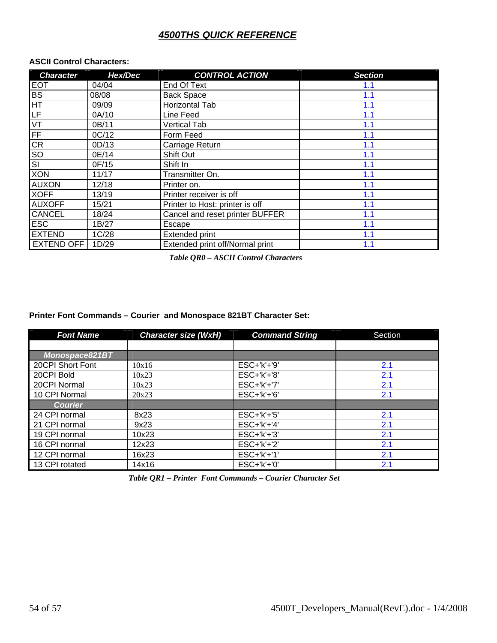# *4500THS QUICK REFERENCE*

### <span id="page-53-0"></span>**ASCII Control Characters:**

| <b>Character</b>        | Hex/Dec | <b>CONTROL ACTION</b>           | <b>Section</b> |
|-------------------------|---------|---------------------------------|----------------|
| <b>EOT</b>              | 04/04   | End Of Text                     | 1.1            |
| BS                      | 08/08   | <b>Back Space</b>               | 1.1            |
| HT                      | 09/09   | Horizontal Tab                  | 1.1            |
| LF                      | 0A/10   | Line Feed                       | 1.1            |
| VT                      | 0B/11   | <b>Vertical Tab</b>             | 1.1            |
| FF                      | OC/12   | Form Feed                       | 1.1            |
| CR                      | OD/13   | Carriage Return                 | 1.1            |
| S <sub>O</sub>          | 0E/14   | Shift Out                       | 1.1            |
| $\overline{\mathsf{S}}$ | 0F/15   | Shift In                        | 1.1            |
| <b>XON</b>              | 11/17   | Transmitter On.                 | 1.1            |
| <b>AUXON</b>            | 12/18   | Printer on.                     | 1.1            |
| <b>XOFF</b>             | 13/19   | Printer receiver is off         | 1.1            |
| <b>AUXOFF</b>           | 15/21   | Printer to Host: printer is off | 1.1            |
| <b>CANCEL</b>           | 18/24   | Cancel and reset printer BUFFER | 1.1            |
| <b>ESC</b>              | 1B/27   | Escape                          | 1.1            |
| <b>EXTEND</b>           | 1C/28   | <b>Extended print</b>           | 1.1            |
| <b>EXTEND OFF</b>       | 1D/29   | Extended print off/Normal print | 1.1            |

 *Table QR0 – ASCII Control Characters* 

### **Printer Font Commands – Courier and Monospace 821BT Character Set:**

| <b>Font Name</b> | <b>Character size (WxH)</b> | <b>Command String</b> | Section |
|------------------|-----------------------------|-----------------------|---------|
|                  |                             |                       |         |
| Monospace821BT   |                             |                       |         |
| 20CPI Short Font | 10x16                       | ESC+'k'+'9'           | 2.1     |
| 20CPI Bold       | 10x23                       | $ESC+'k'+'8'$         | 2.1     |
| 20CPI Normal     | 10x23                       | $ESC+'k'+'7'$         | 2.1     |
| 10 CPI Normal    | 20x23                       | $ESC+'k'+'6'$         | 2.1     |
| <b>Courier</b>   |                             |                       |         |
| 24 CPI normal    | 8x23                        | $ESC+'k'+'5'$         | 2.1     |
| 21 CPI normal    | 9x23                        | $ESC+'k'+'4'$         | 2.1     |
| 19 CPI normal    | 10x23                       | $ESC+'k'+'3'$         | 2.1     |
| 16 CPI normal    | 12x23                       | $ESC+'k'+'2'$         | 2.1     |
| 12 CPI normal    | 16x23                       | ESC+'k'+'1'           | 2.1     |
| 13 CPI rotated   | 14x16                       | $ESC+'k'+'0'$         | 2.1     |

 *Table QR1 – Printer Font Commands – Courier Character Set*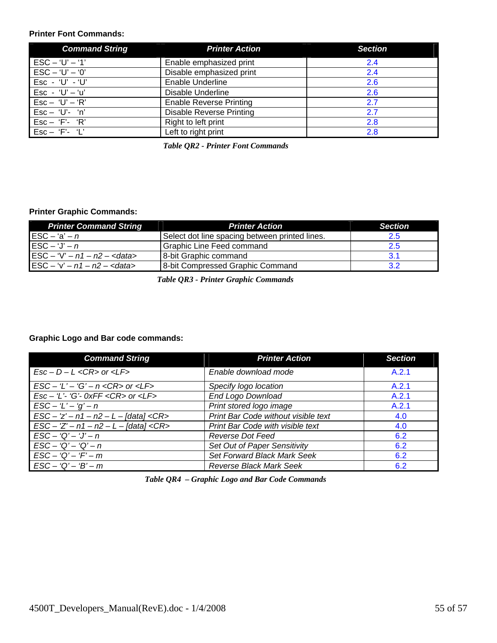### **Printer Font Commands:**

| <b>Command String</b>               | <b>Printer Action</b>           | <b>Section</b> |
|-------------------------------------|---------------------------------|----------------|
| $ESC - 'U' - '1'$                   | Enable emphasized print         | 2.4            |
| $\text{ESC} - 'U' - '0'$            | Disable emphasized print        | 2.4            |
| $Esc - 'U' - 'U'$                   | Enable Underline                | 2.6            |
| Esc - 'U' $-$ 'u'                   | Disable Underline               | 2.6            |
| $\mathsf{Esc} - \mathsf{`U' - 'R'}$ | <b>Enable Reverse Printing</b>  | 2.7            |
| Esc - 'U'- 'n'                      | <b>Disable Reverse Printing</b> | 2.7            |
| $Esc - 'F' - 'R'$                   | Right to left print             | 2.8            |
| $\mathsf{Esc} - \mathsf{`F'}$ - 'L' | Left to right print             | 2.8            |

 *Table QR2 - Printer Font Commands* 

### **Printer Graphic Commands:**

| <b>Printer Command String</b>                         | <b>Printer Action</b>                          | <b>Section</b> |
|-------------------------------------------------------|------------------------------------------------|----------------|
| $\mathsf{I}\mathsf{E}\mathsf{SC}-\mathsf{a}'-n$       | Select dot line spacing between printed lines. | 2.5            |
| $\mathsf{IESC} - \mathsf{`J' - n}$                    | Graphic Line Feed command                      | 2.5            |
| $ESC - 'V' - n1 - n2 - <$ data>                       | 8-bit Graphic command                          | 3.1            |
| $\textsf{ESC} - \text{'}v - n1 - n2 - \textsf{cdata}$ | 8-bit Compressed Graphic Command               | 3.2            |

 *Table QR3 - Printer Graphic Commands* 

### **Graphic Logo and Bar code commands:**

| <b>Command String</b>                                                                      | <b>Printer Action</b>               | <b>Section</b> |
|--------------------------------------------------------------------------------------------|-------------------------------------|----------------|
| $Esc - D - L < CR > or < LF >$                                                             | Enable download mode                | A.2.1          |
| $\textsf{LSC} - \textsf{L}' - \textsf{G}' - n < \textsf{CR} > \textsf{or} < \textsf{LF} >$ | Specify logo location               | A.2.1          |
| $Esc - 'L'$ - 'G'- 0xFF <cr> or <lf></lf></cr>                                             | End Logo Download                   | A.2.1          |
| $\text{ESC} - L' - 'q' - n$                                                                | Print stored logo image             | A.2.1          |
| $\text{LSC} - 'z' - n1 - n2 - L - [data] < CR$                                             | Print Bar Code without visible text | 4.0            |
| $\text{LSC} - \text{Z}' - n1 - n2 - L - \text{[data]} < \text{CR}$                         | Print Bar Code with visible text    | 4.0            |
| $\text{ESC} - 'Q' - 'J' - n$                                                               | Reverse Dot Feed                    | 6.2            |
| $\text{ESC} - 'Q' - 'Q' - n$                                                               | Set Out of Paper Sensitivity        | 6.2            |
| $\textsf{ESC} - \textsf{Q}' - \textsf{F}' - \textsf{m}$                                    | Set Forward Black Mark Seek         | 6.2            |
| $\textsf{ESC} - 'Q' - 'B' - m$                                                             | <b>Reverse Black Mark Seek</b>      | 6.2            |

 *Table QR4 – Graphic Logo and Bar Code Commands*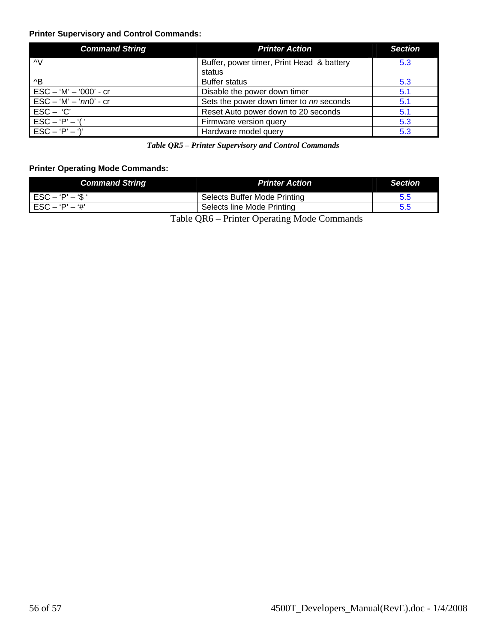### **Printer Supervisory and Control Commands:**

| <b>Command String</b>           | <b>Printer Action</b>                     | <b>Section</b> |
|---------------------------------|-------------------------------------------|----------------|
| ΛV                              | Buffer, power timer, Print Head & battery | 5.3            |
|                                 | status                                    |                |
| ^B                              | <b>Buffer status</b>                      | 5.3            |
| $\text{ESC} - 'M' - '000' - cr$ | Disable the power down timer              | 5.1            |
| $\text{ESC} - 'M' - 'nn0' - cr$ | Sets the power down timer to nn seconds   | 5.1            |
| $\mathsf{ESC} - \mathsf{'}C'$   | Reset Auto power down to 20 seconds       | 5.1            |
| $ESC - 'P' - '('$               | Firmware version query                    | 5.3            |
| $ESC - 'P' - ')'$               | Hardware model query                      | 5.3            |

 *Table QR5 – Printer Supervisory and Control Commands* 

### **Printer Operating Mode Commands:**

| <b>Command String</b>                                  | <b>Printer Action</b>                     | <b>Section</b> |
|--------------------------------------------------------|-------------------------------------------|----------------|
| $\mathsf{ESC} - \mathsf{`P' - \mathsf{'S} \mathsf{'}}$ | Selects Buffer Mode Printing              | 5.5            |
| $\mathsf{ESC} - \mathsf{P}' - \mathsf{H}'$             | Selects line Mode Printing                |                |
|                                                        | Table OD6 Printer Operating Mode Commande |                |

Table QR6 – Printer Operating Mode Commands